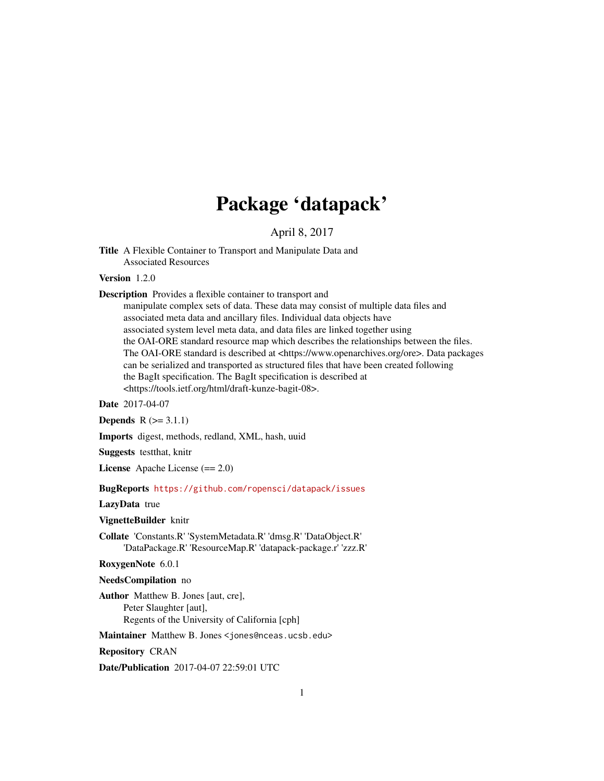## Package 'datapack'

April 8, 2017

Title A Flexible Container to Transport and Manipulate Data and Associated Resources

Version 1.2.0

Description Provides a flexible container to transport and

manipulate complex sets of data. These data may consist of multiple data files and associated meta data and ancillary files. Individual data objects have associated system level meta data, and data files are linked together using the OAI-ORE standard resource map which describes the relationships between the files. The OAI-ORE standard is described at <https://www.openarchives.org/ore>. Data packages can be serialized and transported as structured files that have been created following the BagIt specification. The BagIt specification is described at <https://tools.ietf.org/html/draft-kunze-bagit-08>.

Date 2017-04-07

**Depends**  $R$  ( $> = 3.1.1$ )

Imports digest, methods, redland, XML, hash, uuid

Suggests testthat, knitr

License Apache License (== 2.0)

BugReports <https://github.com/ropensci/datapack/issues>

LazyData true

VignetteBuilder knitr

Collate 'Constants.R' 'SystemMetadata.R' 'dmsg.R' 'DataObject.R' 'DataPackage.R' 'ResourceMap.R' 'datapack-package.r' 'zzz.R'

RoxygenNote 6.0.1

NeedsCompilation no

Author Matthew B. Jones [aut, cre], Peter Slaughter [aut], Regents of the University of California [cph]

Maintainer Matthew B. Jones <jones@nceas.ucsb.edu>

Repository CRAN

Date/Publication 2017-04-07 22:59:01 UTC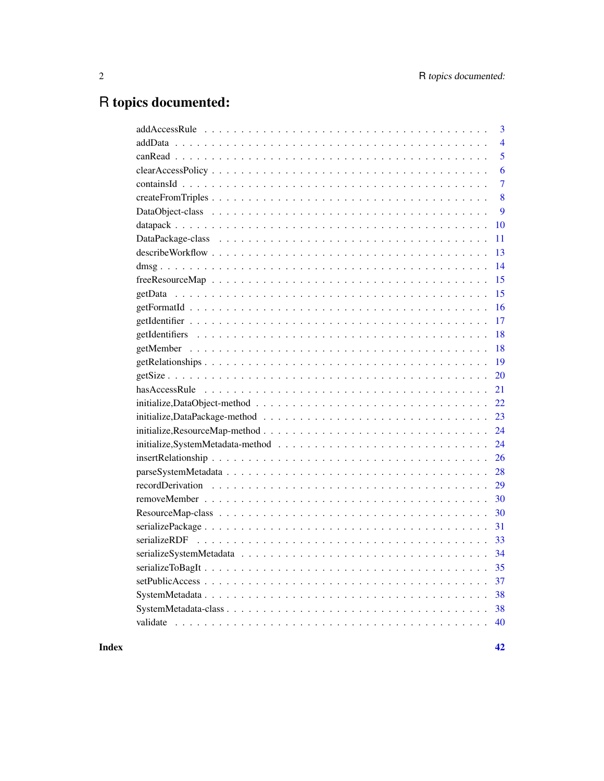# R topics documented:

| $\overline{4}$<br>5<br>6<br>7<br>8<br>9<br>10<br>11<br>13<br>14<br>15<br>15<br>16<br>17<br>18<br>18<br>19<br>20<br>21 |
|-----------------------------------------------------------------------------------------------------------------------|
|                                                                                                                       |
|                                                                                                                       |
|                                                                                                                       |
|                                                                                                                       |
|                                                                                                                       |
|                                                                                                                       |
|                                                                                                                       |
|                                                                                                                       |
|                                                                                                                       |
|                                                                                                                       |
|                                                                                                                       |
|                                                                                                                       |
|                                                                                                                       |
|                                                                                                                       |
|                                                                                                                       |
|                                                                                                                       |
|                                                                                                                       |
|                                                                                                                       |
|                                                                                                                       |
| 22                                                                                                                    |
| 23                                                                                                                    |
| 24                                                                                                                    |
| 24                                                                                                                    |
| 26                                                                                                                    |
| 28                                                                                                                    |
| 29                                                                                                                    |
| 30                                                                                                                    |
| 30                                                                                                                    |
| 31                                                                                                                    |
| 33                                                                                                                    |
| 34                                                                                                                    |
| 35                                                                                                                    |
| 37                                                                                                                    |
| 38                                                                                                                    |
|                                                                                                                       |
|                                                                                                                       |

**Index** [42](#page-41-0)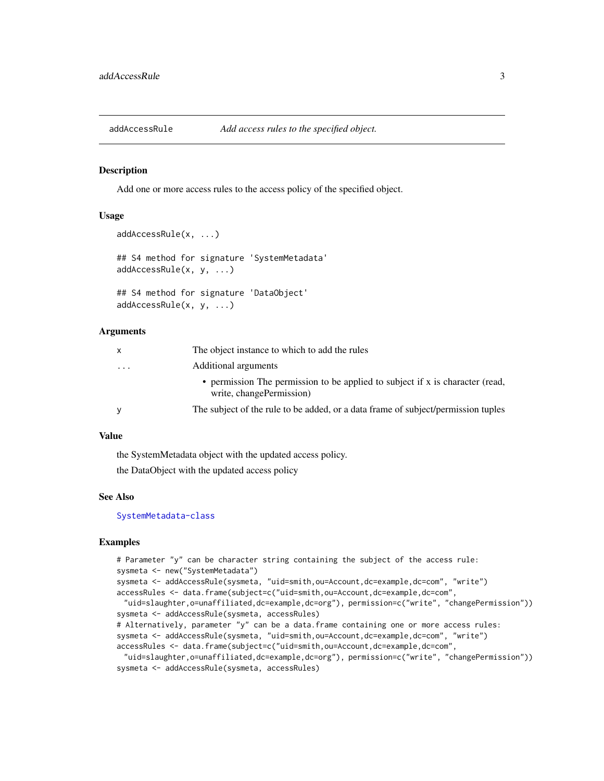<span id="page-2-1"></span><span id="page-2-0"></span>

Add one or more access rules to the access policy of the specified object.

#### Usage

```
addAccessRule(x, ...)
## S4 method for signature 'SystemMetadata'
addAccessRule(x, y, ...)
## S4 method for signature 'DataObject'
addAccessRule(x, y, ...)
```
#### Arguments

| x | The object instance to which to add the rules                                                             |
|---|-----------------------------------------------------------------------------------------------------------|
| . | Additional arguments                                                                                      |
|   | • permission The permission to be applied to subject if x is character (read,<br>write, changePermission) |
|   | The subject of the rule to be added, or a data frame of subject/permission tuples                         |
|   |                                                                                                           |

#### Value

the SystemMetadata object with the updated access policy.

the DataObject with the updated access policy

#### See Also

[SystemMetadata-class](#page-37-1)

```
# Parameter "y" can be character string containing the subject of the access rule:
sysmeta <- new("SystemMetadata")
sysmeta <- addAccessRule(sysmeta, "uid=smith,ou=Account,dc=example,dc=com", "write")
accessRules <- data.frame(subject=c("uid=smith,ou=Account,dc=example,dc=com",
 "uid=slaughter,o=unaffiliated,dc=example,dc=org"), permission=c("write", "changePermission"))
sysmeta <- addAccessRule(sysmeta, accessRules)
# Alternatively, parameter "y" can be a data.frame containing one or more access rules:
sysmeta <- addAccessRule(sysmeta, "uid=smith,ou=Account,dc=example,dc=com", "write")
accessRules <- data.frame(subject=c("uid=smith,ou=Account,dc=example,dc=com",
 "uid=slaughter,o=unaffiliated,dc=example,dc=org"), permission=c("write", "changePermission"))
sysmeta <- addAccessRule(sysmeta, accessRules)
```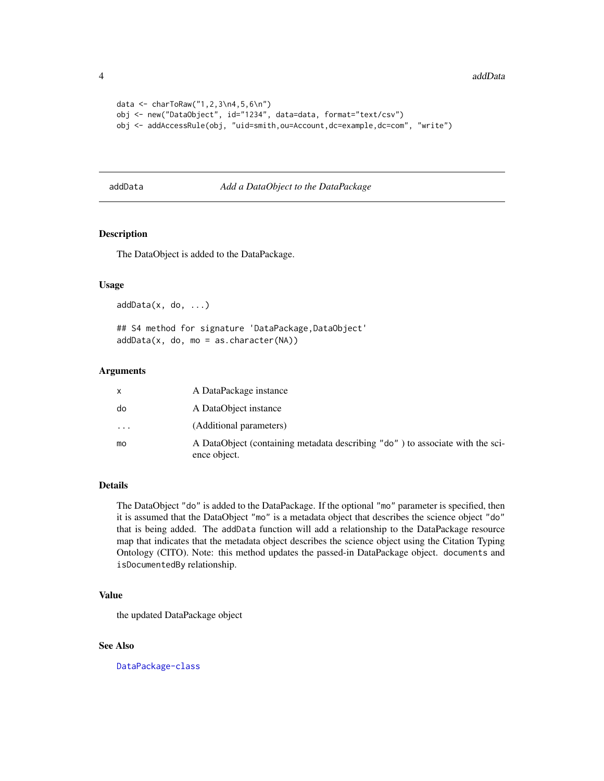```
data <- charToRaw("1,2,3\n4,5,6\n")
obj <- new("DataObject", id="1234", data=data, format="text/csv")
obj <- addAccessRule(obj, "uid=smith,ou=Account,dc=example,dc=com", "write")
```
#### <span id="page-3-1"></span>addData *Add a DataObject to the DataPackage*

## Description

The DataObject is added to the DataPackage.

#### Usage

addData(x, do, ...)

## S4 method for signature 'DataPackage, DataObject'  $addData(x, do, mo = as.charAt("NA))$ 

#### Arguments

|    | A DataPackage instance                                                                        |
|----|-----------------------------------------------------------------------------------------------|
| do | A DataObject instance                                                                         |
| .  | (Additional parameters)                                                                       |
| mo | A DataObject (containing metadata describing "do") to associate with the sci-<br>ence object. |

## Details

The DataObject "do" is added to the DataPackage. If the optional "mo" parameter is specified, then it is assumed that the DataObject "mo" is a metadata object that describes the science object "do" that is being added. The addData function will add a relationship to the DataPackage resource map that indicates that the metadata object describes the science object using the Citation Typing Ontology (CITO). Note: this method updates the passed-in DataPackage object. documents and isDocumentedBy relationship.

#### Value

the updated DataPackage object

## See Also

[DataPackage-class](#page-10-1)

<span id="page-3-0"></span>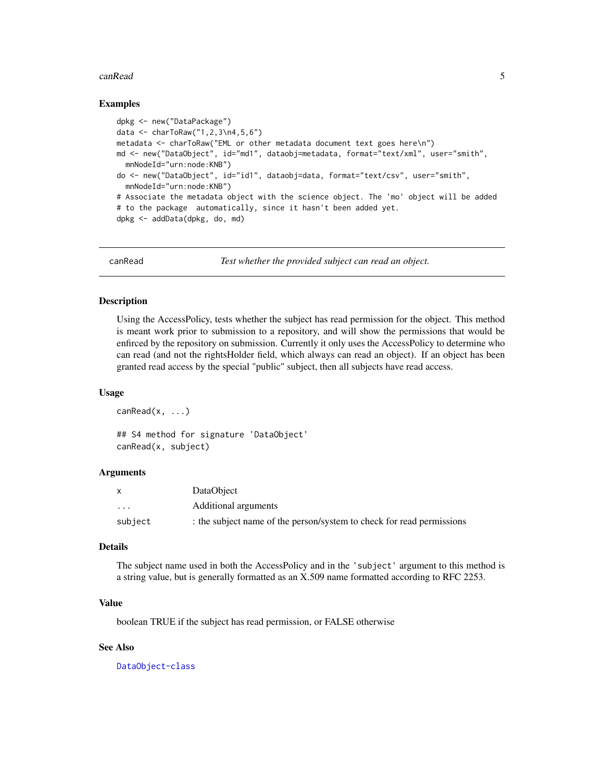#### <span id="page-4-0"></span>canRead 5

#### Examples

```
dpkg <- new("DataPackage")
data <- charToRaw("1,2,3\n4,5,6")
metadata <- charToRaw("EML or other metadata document text goes here\n")
md <- new("DataObject", id="md1", dataobj=metadata, format="text/xml", user="smith",
  mnNodeId="urn:node:KNB")
do <- new("DataObject", id="id1", dataobj=data, format="text/csv", user="smith",
  mnNodeId="urn:node:KNB")
# Associate the metadata object with the science object. The 'mo' object will be added
# to the package automatically, since it hasn't been added yet.
dpkg <- addData(dpkg, do, md)
```
<span id="page-4-1"></span>canRead *Test whether the provided subject can read an object.*

#### Description

Using the AccessPolicy, tests whether the subject has read permission for the object. This method is meant work prior to submission to a repository, and will show the permissions that would be enfirced by the repository on submission. Currently it only uses the AccessPolicy to determine who can read (and not the rightsHolder field, which always can read an object). If an object has been granted read access by the special "public" subject, then all subjects have read access.

#### Usage

 $canRead(x, \ldots)$ 

## S4 method for signature 'DataObject' canRead(x, subject)

## Arguments

|                         | DataObject                                                            |
|-------------------------|-----------------------------------------------------------------------|
| $\cdot$ $\cdot$ $\cdot$ | Additional arguments                                                  |
| subject                 | : the subject name of the person/system to check for read permissions |

## Details

The subject name used in both the AccessPolicy and in the 'subject' argument to this method is a string value, but is generally formatted as an X.509 name formatted according to RFC 2253.

#### Value

boolean TRUE if the subject has read permission, or FALSE otherwise

#### See Also

[DataObject-class](#page-8-1)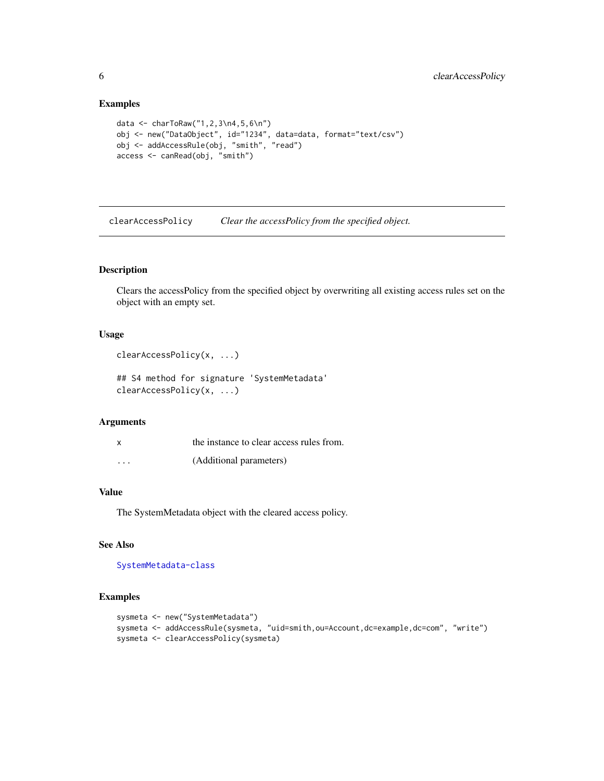#### Examples

```
data <- charToRaw("1,2,3\n4,5,6\n")
obj <- new("DataObject", id="1234", data=data, format="text/csv")
obj <- addAccessRule(obj, "smith", "read")
access <- canRead(obj, "smith")
```
<span id="page-5-1"></span>clearAccessPolicy *Clear the accessPolicy from the specified object.*

## Description

Clears the accessPolicy from the specified object by overwriting all existing access rules set on the object with an empty set.

#### Usage

```
clearAccessPolicy(x, ...)
```

```
## S4 method for signature 'SystemMetadata'
clearAccessPolicy(x, ...)
```
## Arguments

| x       | the instance to clear access rules from. |
|---------|------------------------------------------|
| $\cdot$ | (Additional parameters)                  |

## Value

The SystemMetadata object with the cleared access policy.

## See Also

[SystemMetadata-class](#page-37-1)

```
sysmeta <- new("SystemMetadata")
sysmeta <- addAccessRule(sysmeta, "uid=smith,ou=Account,dc=example,dc=com", "write")
sysmeta <- clearAccessPolicy(sysmeta)
```
<span id="page-5-0"></span>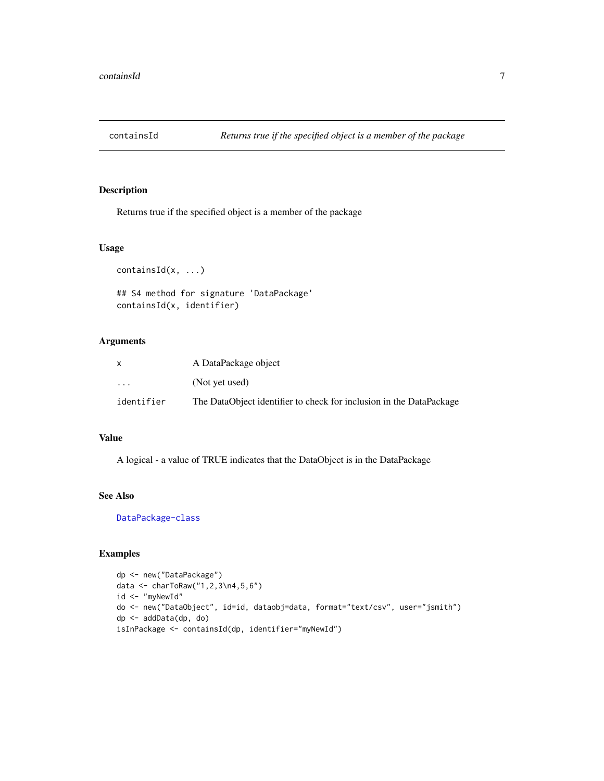<span id="page-6-1"></span><span id="page-6-0"></span>

Returns true if the specified object is a member of the package

#### Usage

```
containsId(x, ...)
## S4 method for signature 'DataPackage'
containsId(x, identifier)
```
## Arguments

|                         | A DataPackage object                                                |
|-------------------------|---------------------------------------------------------------------|
| $\cdot$ $\cdot$ $\cdot$ | (Not yet used)                                                      |
| identifier              | The DataObject identifier to check for inclusion in the DataPackage |

#### Value

A logical - a value of TRUE indicates that the DataObject is in the DataPackage

## See Also

[DataPackage-class](#page-10-1)

```
dp <- new("DataPackage")
data <- charToRaw("1,2,3\n4,5,6")
id <- "myNewId"
do <- new("DataObject", id=id, dataobj=data, format="text/csv", user="jsmith")
dp <- addData(dp, do)
isInPackage <- containsId(dp, identifier="myNewId")
```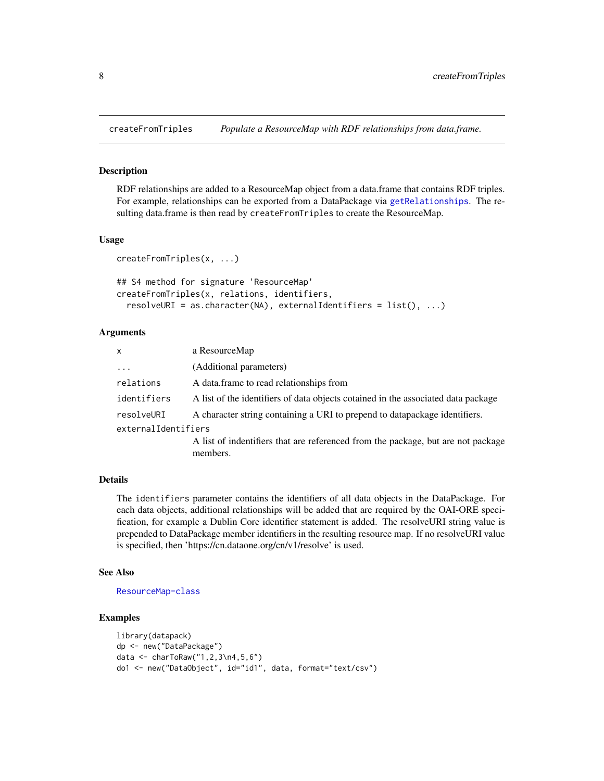<span id="page-7-1"></span><span id="page-7-0"></span>

RDF relationships are added to a ResourceMap object from a data.frame that contains RDF triples. For example, relationships can be exported from a DataPackage via [getRelationships](#page-18-1). The resulting data.frame is then read by createFromTriples to create the ResourceMap.

#### Usage

```
createFromTriples(x, ...)
```

```
## S4 method for signature 'ResourceMap'
createFromTriples(x, relations, identifiers,
  resolveURI = as.character(NA), externalIdentifiers = list(), ...)
```
#### Arguments

| X                   | a ResourceMap                                                                                |
|---------------------|----------------------------------------------------------------------------------------------|
| $\ddotsc$           | (Additional parameters)                                                                      |
| relations           | A data frame to read relationships from                                                      |
| identifiers         | A list of the identifiers of data objects cotained in the associated data package            |
| resolveURI          | A character string containing a URI to prepend to datapackage identifiers.                   |
| externalIdentifiers |                                                                                              |
|                     | A list of indentifiers that are referenced from the package, but are not package<br>members. |

## **Details**

The identifiers parameter contains the identifiers of all data objects in the DataPackage. For each data objects, additional relationships will be added that are required by the OAI-ORE specification, for example a Dublin Core identifier statement is added. The resolveURI string value is prepended to DataPackage member identifiers in the resulting resource map. If no resolveURI value is specified, then 'https://cn.dataone.org/cn/v1/resolve' is used.

#### See Also

[ResourceMap-class](#page-29-1)

```
library(datapack)
dp <- new("DataPackage")
data <- charToRaw("1,2,3\n4,5,6")
do1 <- new("DataObject", id="id1", data, format="text/csv")
```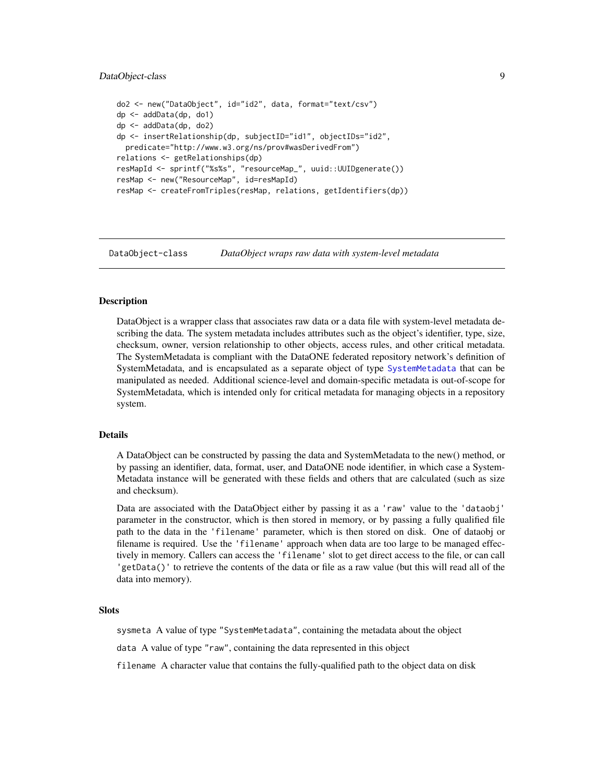## <span id="page-8-0"></span>DataObject-class 9

```
do2 <- new("DataObject", id="id2", data, format="text/csv")
dp <- addData(dp, do1)
dp <- addData(dp, do2)
dp <- insertRelationship(dp, subjectID="id1", objectIDs="id2",
 predicate="http://www.w3.org/ns/prov#wasDerivedFrom")
relations <- getRelationships(dp)
resMapId <- sprintf("%s%s", "resourceMap_", uuid::UUIDgenerate())
resMap <- new("ResourceMap", id=resMapId)
resMap <- createFromTriples(resMap, relations, getIdentifiers(dp))
```
<span id="page-8-1"></span>DataObject-class *DataObject wraps raw data with system-level metadata*

#### Description

DataObject is a wrapper class that associates raw data or a data file with system-level metadata describing the data. The system metadata includes attributes such as the object's identifier, type, size, checksum, owner, version relationship to other objects, access rules, and other critical metadata. The SystemMetadata is compliant with the DataONE federated repository network's definition of SystemMetadata, and is encapsulated as a separate object of type [SystemMetadata](#page-37-2) that can be manipulated as needed. Additional science-level and domain-specific metadata is out-of-scope for SystemMetadata, which is intended only for critical metadata for managing objects in a repository system.

## Details

A DataObject can be constructed by passing the data and SystemMetadata to the new() method, or by passing an identifier, data, format, user, and DataONE node identifier, in which case a System-Metadata instance will be generated with these fields and others that are calculated (such as size and checksum).

Data are associated with the DataObject either by passing it as a 'raw' value to the 'dataobj' parameter in the constructor, which is then stored in memory, or by passing a fully qualified file path to the data in the 'filename' parameter, which is then stored on disk. One of dataobj or filename is required. Use the 'filename' approach when data are too large to be managed effectively in memory. Callers can access the 'filename' slot to get direct access to the file, or can call 'getData()' to retrieve the contents of the data or file as a raw value (but this will read all of the data into memory).

#### **Slots**

sysmeta A value of type "SystemMetadata", containing the metadata about the object

data A value of type "raw", containing the data represented in this object

filename A character value that contains the fully-qualified path to the object data on disk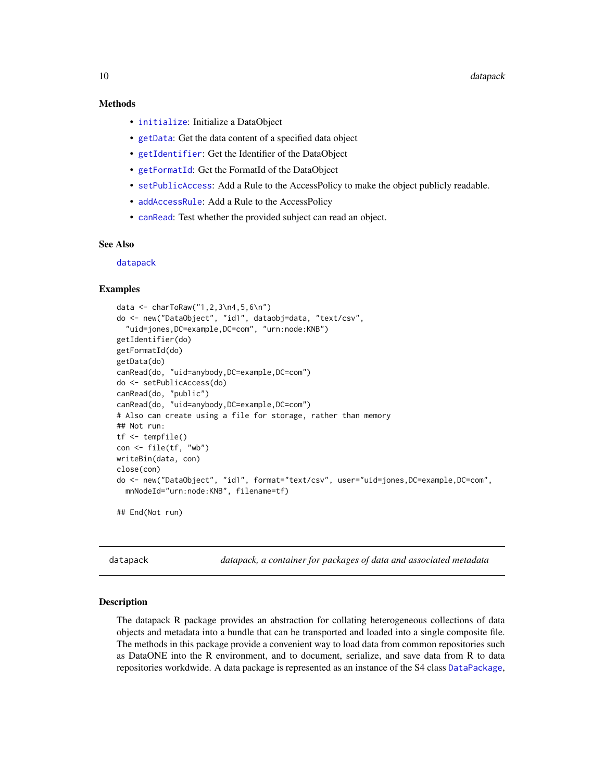## <span id="page-9-0"></span>Methods

- [initialize](#page-21-1): Initialize a DataObject
- [getData](#page-14-1): Get the data content of a specified data object
- [getIdentifier](#page-16-1): Get the Identifier of the DataObject
- [getFormatId](#page-15-1): Get the FormatId of the DataObject
- [setPublicAccess](#page-36-1): Add a Rule to the AccessPolicy to make the object publicly readable.
- [addAccessRule](#page-2-1): Add a Rule to the AccessPolicy
- [canRead](#page-4-1): Test whether the provided subject can read an object.

#### See Also

[datapack](#page-9-1)

#### Examples

```
data <- charToRaw("1,2,3\n4,5,6\n")
do <- new("DataObject", "id1", dataobj=data, "text/csv",
  "uid=jones,DC=example,DC=com", "urn:node:KNB")
getIdentifier(do)
getFormatId(do)
getData(do)
canRead(do, "uid=anybody,DC=example,DC=com")
do <- setPublicAccess(do)
canRead(do, "public")
canRead(do, "uid=anybody,DC=example,DC=com")
# Also can create using a file for storage, rather than memory
## Not run:
tf <- tempfile()
con <- file(tf, "wb")
writeBin(data, con)
close(con)
do <- new("DataObject", "id1", format="text/csv", user="uid=jones,DC=example,DC=com",
 mnNodeId="urn:node:KNB", filename=tf)
## End(Not run)
```
<span id="page-9-1"></span>datapack *datapack, a container for packages of data and associated metadata*

#### Description

The datapack R package provides an abstraction for collating heterogeneous collections of data objects and metadata into a bundle that can be transported and loaded into a single composite file. The methods in this package provide a convenient way to load data from common repositories such as DataONE into the R environment, and to document, serialize, and save data from R to data repositories workdwide. A data package is represented as an instance of the S4 class [DataPackage](#page-10-1),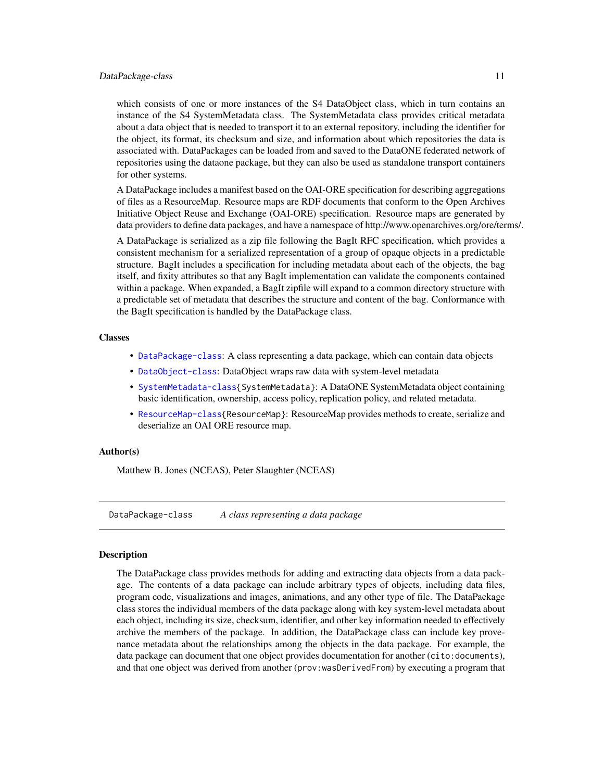#### <span id="page-10-0"></span>DataPackage-class 11

which consists of one or more instances of the S4 DataObject class, which in turn contains an instance of the S4 SystemMetadata class. The SystemMetadata class provides critical metadata about a data object that is needed to transport it to an external repository, including the identifier for the object, its format, its checksum and size, and information about which repositories the data is associated with. DataPackages can be loaded from and saved to the DataONE federated network of repositories using the dataone package, but they can also be used as standalone transport containers for other systems.

A DataPackage includes a manifest based on the OAI-ORE specification for describing aggregations of files as a ResourceMap. Resource maps are RDF documents that conform to the Open Archives Initiative Object Reuse and Exchange (OAI-ORE) specification. Resource maps are generated by data providers to define data packages, and have a namespace of http://www.openarchives.org/ore/terms/.

A DataPackage is serialized as a zip file following the BagIt RFC specification, which provides a consistent mechanism for a serialized representation of a group of opaque objects in a predictable structure. BagIt includes a specification for including metadata about each of the objects, the bag itself, and fixity attributes so that any BagIt implementation can validate the components contained within a package. When expanded, a BagIt zipfile will expand to a common directory structure with a predictable set of metadata that describes the structure and content of the bag. Conformance with the BagIt specification is handled by the DataPackage class.

#### Classes

- [DataPackage-class](#page-10-1): A class representing a data package, which can contain data objects
- [DataObject-class](#page-8-1): DataObject wraps raw data with system-level metadata
- [SystemMetadata-class{](#page-37-1)SystemMetadata}: A DataONE SystemMetadata object containing basic identification, ownership, access policy, replication policy, and related metadata.
- [ResourceMap-class{](#page-29-1)ResourceMap}: ResourceMap provides methods to create, serialize and deserialize an OAI ORE resource map.

#### Author(s)

Matthew B. Jones (NCEAS), Peter Slaughter (NCEAS)

<span id="page-10-1"></span>DataPackage-class *A class representing a data package*

#### Description

The DataPackage class provides methods for adding and extracting data objects from a data package. The contents of a data package can include arbitrary types of objects, including data files, program code, visualizations and images, animations, and any other type of file. The DataPackage class stores the individual members of the data package along with key system-level metadata about each object, including its size, checksum, identifier, and other key information needed to effectively archive the members of the package. In addition, the DataPackage class can include key provenance metadata about the relationships among the objects in the data package. For example, the data package can document that one object provides documentation for another (cito:documents), and that one object was derived from another (prov:wasDerivedFrom) by executing a program that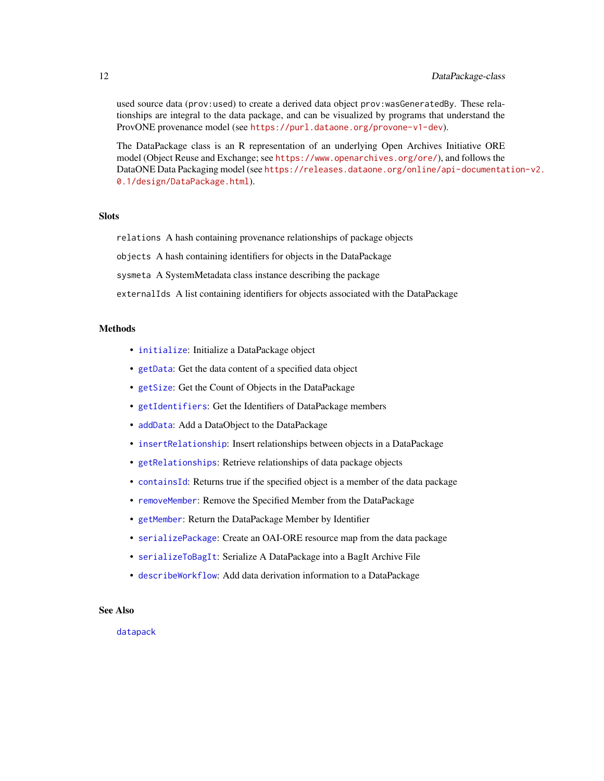<span id="page-11-0"></span>used source data (prov:used) to create a derived data object prov:wasGeneratedBy. These relationships are integral to the data package, and can be visualized by programs that understand the ProvONE provenance model (see <https://purl.dataone.org/provone-v1-dev>).

The DataPackage class is an R representation of an underlying Open Archives Initiative ORE model (Object Reuse and Exchange; see <https://www.openarchives.org/ore/>), and follows the DataONE Data Packaging model (see [https://releases.dataone.org/online/api-documentat](https://releases.dataone.org/online/api-documentation-v2.0.1/design/DataPackage.html)ion-v2. [0.1/design/DataPackage.html](https://releases.dataone.org/online/api-documentation-v2.0.1/design/DataPackage.html)).

#### **Slots**

relations A hash containing provenance relationships of package objects

objects A hash containing identifiers for objects in the DataPackage

sysmeta A SystemMetadata class instance describing the package

externalIds A list containing identifiers for objects associated with the DataPackage

## Methods

- [initialize](#page-22-1): Initialize a DataPackage object
- [getData](#page-14-1): Get the data content of a specified data object
- [getSize](#page-19-1): Get the Count of Objects in the DataPackage
- [getIdentifiers](#page-17-1): Get the Identifiers of DataPackage members
- [addData](#page-3-1): Add a DataObject to the DataPackage
- [insertRelationship](#page-25-1): Insert relationships between objects in a DataPackage
- [getRelationships](#page-18-1): Retrieve relationships of data package objects
- [containsId](#page-6-1): Returns true if the specified object is a member of the data package
- [removeMember](#page-29-2): Remove the Specified Member from the DataPackage
- [getMember](#page-17-2): Return the DataPackage Member by Identifier
- [serializePackage](#page-30-1): Create an OAI-ORE resource map from the data package
- [serializeToBagIt](#page-34-1): Serialize A DataPackage into a BagIt Archive File
- [describeWorkflow](#page-12-1): Add data derivation information to a DataPackage

## See Also

[datapack](#page-9-1)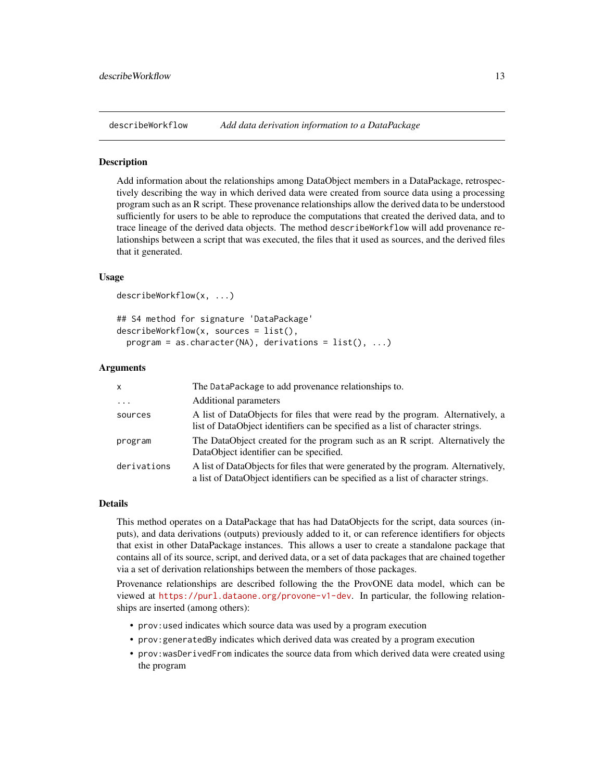<span id="page-12-1"></span><span id="page-12-0"></span>describeWorkflow *Add data derivation information to a DataPackage*

#### Description

Add information about the relationships among DataObject members in a DataPackage, retrospectively describing the way in which derived data were created from source data using a processing program such as an R script. These provenance relationships allow the derived data to be understood sufficiently for users to be able to reproduce the computations that created the derived data, and to trace lineage of the derived data objects. The method describeWorkflow will add provenance relationships between a script that was executed, the files that it used as sources, and the derived files that it generated.

## Usage

```
describeWorkflow(x, ...)
## S4 method for signature 'DataPackage'
describeWorkflow(x, sources = list(),
 program = as.character(NA), derivations = list(), ...)
```
#### Arguments

| $\mathsf{x}$            | The DataPackage to add provenance relationships to.                                                                                                                     |
|-------------------------|-------------------------------------------------------------------------------------------------------------------------------------------------------------------------|
| $\cdot$ $\cdot$ $\cdot$ | Additional parameters                                                                                                                                                   |
| sources                 | A list of DataObjects for files that were read by the program. Alternatively, a<br>list of DataObject identifiers can be specified as a list of character strings.      |
| program                 | The DataObject created for the program such as an R script. Alternatively the<br>DataObject identifier can be specified.                                                |
| derivations             | A list of DataObjects for files that were generated by the program. Alternatively,<br>a list of DataObject identifiers can be specified as a list of character strings. |

## Details

This method operates on a DataPackage that has had DataObjects for the script, data sources (inputs), and data derivations (outputs) previously added to it, or can reference identifiers for objects that exist in other DataPackage instances. This allows a user to create a standalone package that contains all of its source, script, and derived data, or a set of data packages that are chained together via a set of derivation relationships between the members of those packages.

Provenance relationships are described following the the ProvONE data model, which can be viewed at <https://purl.dataone.org/provone-v1-dev>. In particular, the following relationships are inserted (among others):

- prov:used indicates which source data was used by a program execution
- prov:generatedBy indicates which derived data was created by a program execution
- prov:wasDerivedFrom indicates the source data from which derived data were created using the program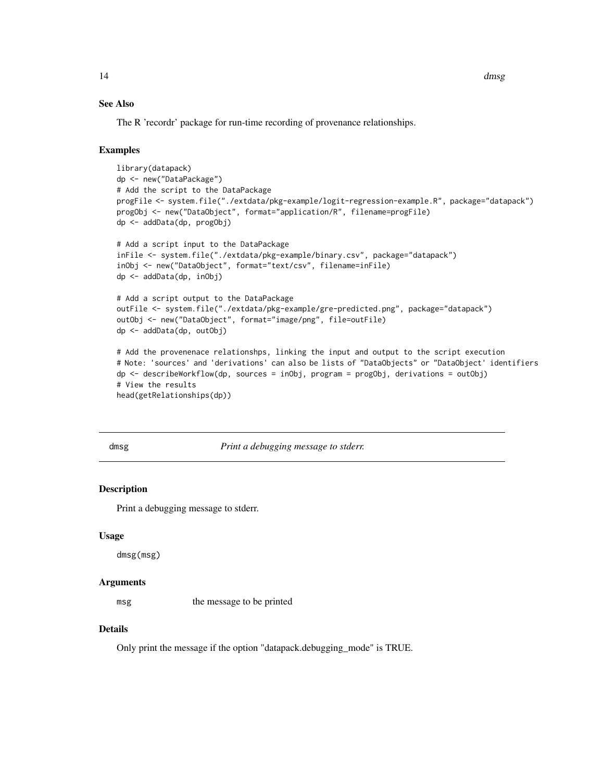## See Also

The R 'recordr' package for run-time recording of provenance relationships.

#### Examples

```
library(datapack)
dp <- new("DataPackage")
# Add the script to the DataPackage
progFile <- system.file("./extdata/pkg-example/logit-regression-example.R", package="datapack")
progObj <- new("DataObject", format="application/R", filename=progFile)
dp <- addData(dp, progObj)
# Add a script input to the DataPackage
inFile <- system.file("./extdata/pkg-example/binary.csv", package="datapack")
inObj <- new("DataObject", format="text/csv", filename=inFile)
dp <- addData(dp, inObj)
# Add a script output to the DataPackage
outFile <- system.file("./extdata/pkg-example/gre-predicted.png", package="datapack")
outObj <- new("DataObject", format="image/png", file=outFile)
dp <- addData(dp, outObj)
# Add the provenenace relationshps, linking the input and output to the script execution
# Note: 'sources' and 'derivations' can also be lists of "DataObjects" or "DataObject' identifiers
dp <- describeWorkflow(dp, sources = inObj, program = progObj, derivations = outObj)
# View the results
head(getRelationships(dp))
```
dmsg *Print a debugging message to stderr.*

#### **Description**

Print a debugging message to stderr.

#### Usage

dmsg(msg)

#### Arguments

msg the message to be printed

## Details

Only print the message if the option "datapack.debugging\_mode" is TRUE.

<span id="page-13-0"></span>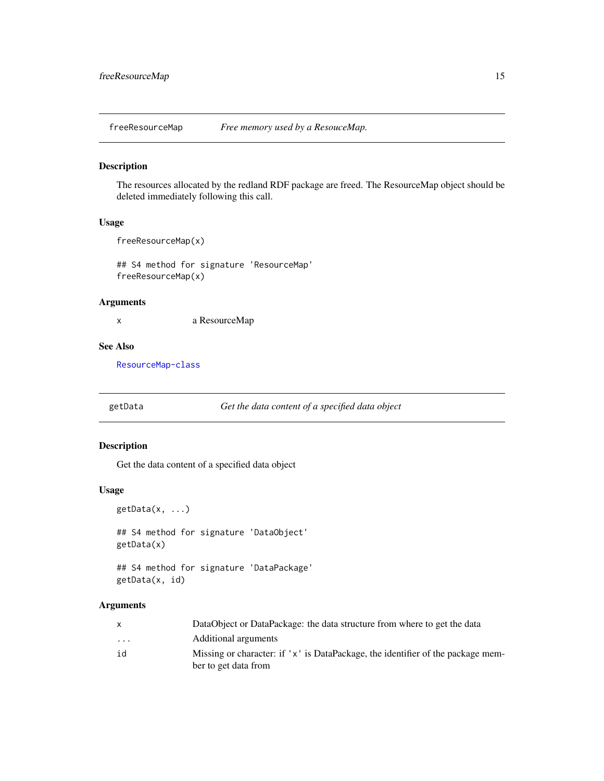<span id="page-14-0"></span>

The resources allocated by the redland RDF package are freed. The ResourceMap object should be deleted immediately following this call.

## Usage

freeResourceMap(x)

## S4 method for signature 'ResourceMap' freeResourceMap(x)

#### Arguments

x a ResourceMap

## See Also

[ResourceMap-class](#page-29-1)

<span id="page-14-1"></span>getData *Get the data content of a specified data object*

## Description

Get the data content of a specified data object

## Usage

```
getData(x, ...)
```
## S4 method for signature 'DataObject' getData(x)

## S4 method for signature 'DataPackage' getData(x, id)

|          | DataObject or DataPackage: the data structure from where to get the data        |
|----------|---------------------------------------------------------------------------------|
| $\cdots$ | Additional arguments                                                            |
| id       | Missing or character: if 'x' is DataPackage, the identifier of the package mem- |
|          | ber to get data from                                                            |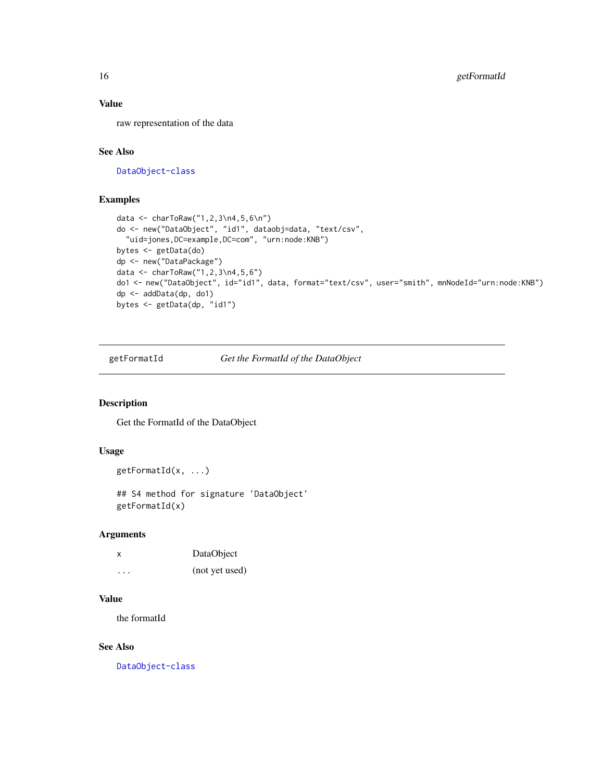## Value

raw representation of the data

## See Also

[DataObject-class](#page-8-1)

## Examples

```
data <- charToRaw("1,2,3\n4,5,6\n")
do <- new("DataObject", "id1", dataobj=data, "text/csv",
  "uid=jones,DC=example,DC=com", "urn:node:KNB")
bytes <- getData(do)
dp <- new("DataPackage")
data <- charToRaw("1,2,3\n4,5,6")
do1 <- new("DataObject", id="id1", data, format="text/csv", user="smith", mnNodeId="urn:node:KNB")
dp <- addData(dp, do1)
bytes <- getData(dp, "id1")
```
<span id="page-15-1"></span>getFormatId *Get the FormatId of the DataObject*

## Description

Get the FormatId of the DataObject

## Usage

```
getFormatId(x, ...)
```
## S4 method for signature 'DataObject' getFormatId(x)

## Arguments

| X        | DataObject     |
|----------|----------------|
| $\cdots$ | (not yet used) |

#### Value

the formatId

#### See Also

[DataObject-class](#page-8-1)

<span id="page-15-0"></span>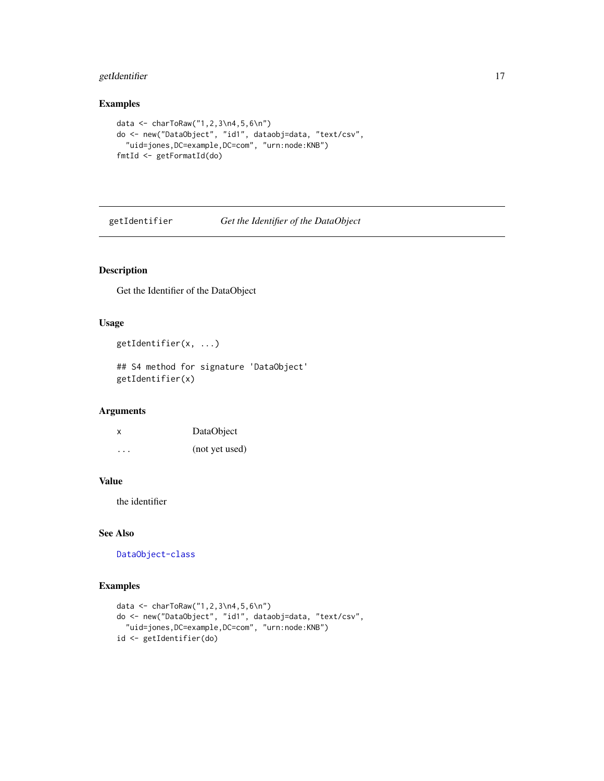## <span id="page-16-0"></span>getIdentifier 17

## Examples

```
data <- charToRaw("1,2,3\n4,5,6\n")
do <- new("DataObject", "id1", dataobj=data, "text/csv",
  "uid=jones,DC=example,DC=com", "urn:node:KNB")
fmtId <- getFormatId(do)
```
<span id="page-16-1"></span>getIdentifier *Get the Identifier of the DataObject*

## Description

Get the Identifier of the DataObject

#### Usage

```
getIdentifier(x, ...)
```
## S4 method for signature 'DataObject' getIdentifier(x)

#### Arguments

| X       | DataObject     |
|---------|----------------|
| $\cdot$ | (not yet used) |

#### Value

the identifier

## See Also

[DataObject-class](#page-8-1)

```
data <- charToRaw("1,2,3\n4,5,6\n")
do <- new("DataObject", "id1", dataobj=data, "text/csv",
  "uid=jones,DC=example,DC=com", "urn:node:KNB")
id <- getIdentifier(do)
```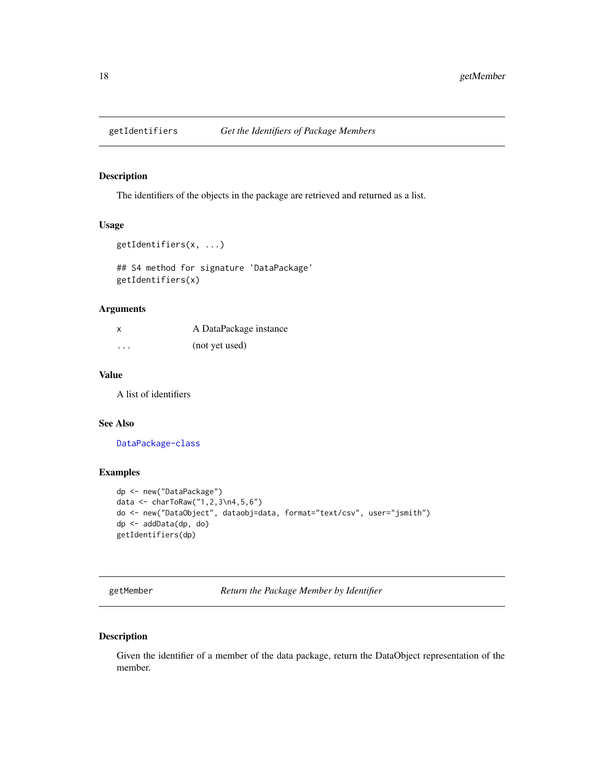<span id="page-17-1"></span><span id="page-17-0"></span>

The identifiers of the objects in the package are retrieved and returned as a list.

#### Usage

```
getIdentifiers(x, ...)
```
## S4 method for signature 'DataPackage' getIdentifiers(x)

## Arguments

| X        | A DataPackage instance |
|----------|------------------------|
| $\cdots$ | (not yet used)         |

## Value

A list of identifiers

## See Also

[DataPackage-class](#page-10-1)

## Examples

```
dp <- new("DataPackage")
data <- charToRaw("1,2,3\n4,5,6")
do <- new("DataObject", dataobj=data, format="text/csv", user="jsmith")
dp <- addData(dp, do)
getIdentifiers(dp)
```
<span id="page-17-2"></span>getMember *Return the Package Member by Identifier*

## Description

Given the identifier of a member of the data package, return the DataObject representation of the member.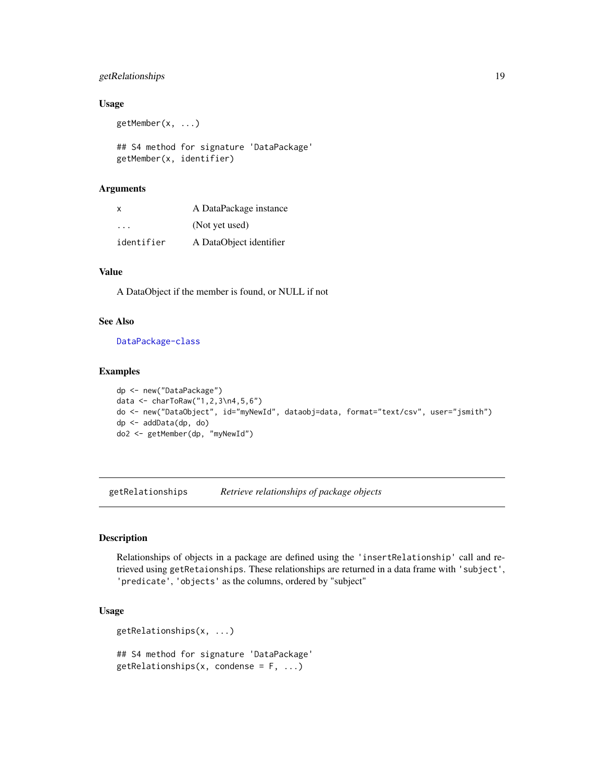## <span id="page-18-0"></span>getRelationships 19

#### Usage

```
getMember(x, ...)
## S4 method for signature 'DataPackage'
getMember(x, identifier)
```
#### Arguments

| x          | A DataPackage instance  |
|------------|-------------------------|
| .          | (Not yet used)          |
| identifier | A DataObject identifier |

## Value

A DataObject if the member is found, or NULL if not

## See Also

[DataPackage-class](#page-10-1)

## Examples

```
dp <- new("DataPackage")
data <- charToRaw("1,2,3\n4,5,6")
do <- new("DataObject", id="myNewId", dataobj=data, format="text/csv", user="jsmith")
dp <- addData(dp, do)
do2 <- getMember(dp, "myNewId")
```
<span id="page-18-1"></span>getRelationships *Retrieve relationships of package objects*

## Description

Relationships of objects in a package are defined using the 'insertRelationship' call and retrieved using getRetaionships. These relationships are returned in a data frame with 'subject', 'predicate', 'objects' as the columns, ordered by "subject"

## Usage

```
getRelationships(x, ...)
```
## S4 method for signature 'DataPackage'  $getRelationships(x, condense = F, ...)$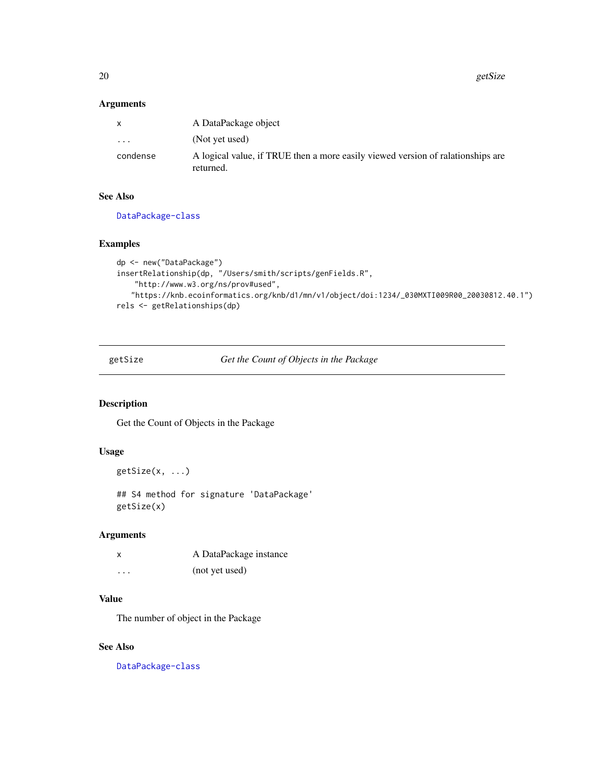<span id="page-19-0"></span>20 getSize

## Arguments

| X        | A DataPackage object                                                                         |
|----------|----------------------------------------------------------------------------------------------|
| $\cdot$  | (Not yet used)                                                                               |
| condense | A logical value, if TRUE then a more easily viewed version of ralationships are<br>returned. |

## See Also

[DataPackage-class](#page-10-1)

## Examples

```
dp <- new("DataPackage")
insertRelationship(dp, "/Users/smith/scripts/genFields.R",
   "http://www.w3.org/ns/prov#used",
   "https://knb.ecoinformatics.org/knb/d1/mn/v1/object/doi:1234/_030MXTI009R00_20030812.40.1")
rels <- getRelationships(dp)
```
<span id="page-19-1"></span>getSize *Get the Count of Objects in the Package*

### Description

Get the Count of Objects in the Package

## Usage

```
getSize(x, ...)
```
## S4 method for signature 'DataPackage' getSize(x)

## Arguments

| X       | A DataPackage instance |
|---------|------------------------|
| $\cdot$ | (not yet used)         |

## Value

The number of object in the Package

## See Also

[DataPackage-class](#page-10-1)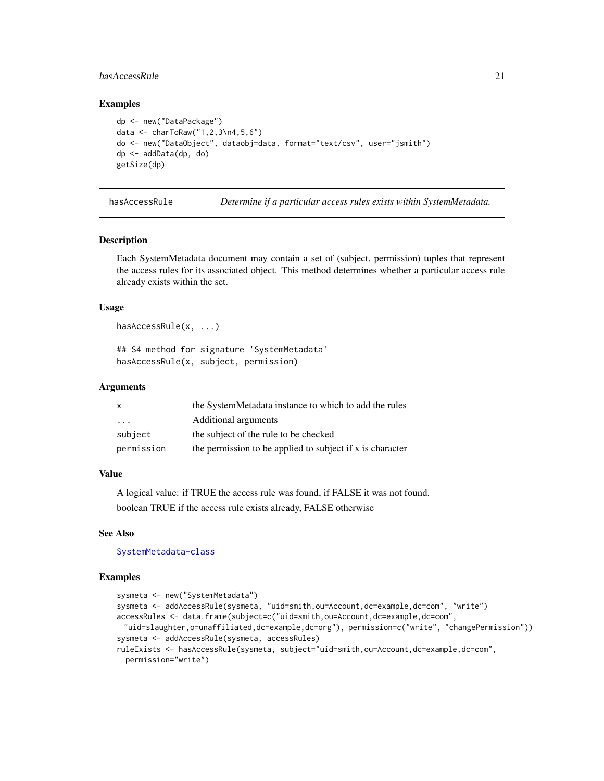## <span id="page-20-0"></span>hasAccessRule 21 22

#### Examples

```
dp <- new("DataPackage")
data <- charToRaw("1,2,3\n4,5,6")
do <- new("DataObject", dataobj=data, format="text/csv", user="jsmith")
dp <- addData(dp, do)
getSize(dp)
```
<span id="page-20-1"></span>hasAccessRule *Determine if a particular access rules exists within SystemMetadata.*

## Description

Each SystemMetadata document may contain a set of (subject, permission) tuples that represent the access rules for its associated object. This method determines whether a particular access rule already exists within the set.

#### Usage

```
hasAccessRule(x, ...)
```

```
## S4 method for signature 'SystemMetadata'
hasAccessRule(x, subject, permission)
```
#### Arguments

| $\mathsf{x}$ | the SystemMetadata instance to which to add the rules     |
|--------------|-----------------------------------------------------------|
| .            | Additional arguments                                      |
| subject      | the subject of the rule to be checked                     |
| permission   | the permission to be applied to subject if x is character |

#### Value

A logical value: if TRUE the access rule was found, if FALSE it was not found. boolean TRUE if the access rule exists already, FALSE otherwise

#### See Also

[SystemMetadata-class](#page-37-1)

```
sysmeta <- new("SystemMetadata")
sysmeta <- addAccessRule(sysmeta, "uid=smith,ou=Account,dc=example,dc=com", "write")
accessRules <- data.frame(subject=c("uid=smith,ou=Account,dc=example,dc=com",
 "uid=slaughter,o=unaffiliated,dc=example,dc=org"), permission=c("write", "changePermission"))
sysmeta <- addAccessRule(sysmeta, accessRules)
ruleExists <- hasAccessRule(sysmeta, subject="uid=smith,ou=Account,dc=example,dc=com",
 permission="write")
```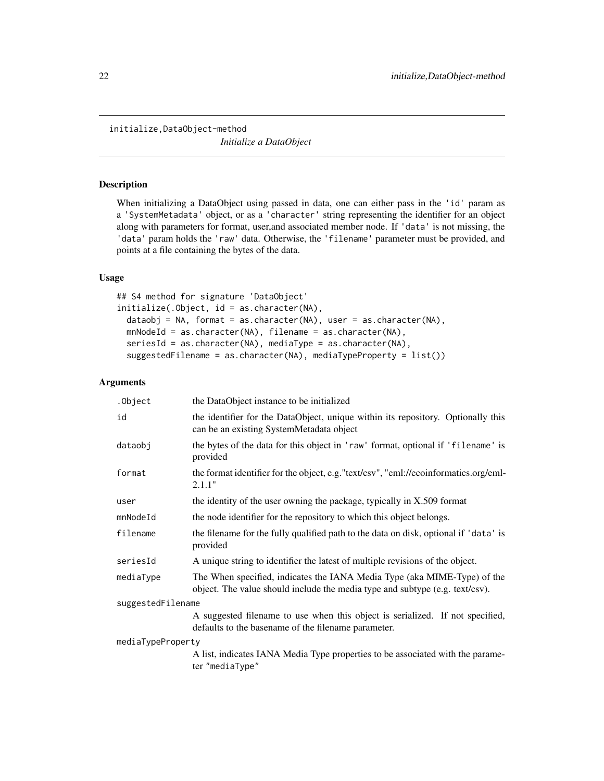<span id="page-21-0"></span>initialize,DataObject-method

*Initialize a DataObject*

## <span id="page-21-1"></span>Description

When initializing a DataObject using passed in data, one can either pass in the 'id' param as a 'SystemMetadata' object, or as a 'character' string representing the identifier for an object along with parameters for format, user,and associated member node. If 'data' is not missing, the 'data' param holds the 'raw' data. Otherwise, the 'filename' parameter must be provided, and points at a file containing the bytes of the data.

## Usage

```
## S4 method for signature 'DataObject'
initialize(.Object, id = as.character(NA),
 dataobj = NA, format = as.character(NA), user = as.character(NA),
 mnNodeId = as.character(NA), filename = as.character(NA),
  seriesId = as.character(NA), mediaType = as.character(NA),
  suggestedFilename = as.character(NA), mediaTypeProperty = list())
```

| the DataObject instance to be initialized                                                                                                                |  |  |
|----------------------------------------------------------------------------------------------------------------------------------------------------------|--|--|
| the identifier for the DataObject, unique within its repository. Optionally this<br>can be an existing SystemMetadata object                             |  |  |
| the bytes of the data for this object in 'raw' format, optional if 'filename' is<br>provided                                                             |  |  |
| the format identifier for the object, e.g. "text/csv", "eml://ecoinformatics.org/eml-<br>2.1.1"                                                          |  |  |
| the identity of the user owning the package, typically in X.509 format                                                                                   |  |  |
| the node identifier for the repository to which this object belongs.                                                                                     |  |  |
| the filename for the fully qualified path to the data on disk, optional if 'data' is<br>provided                                                         |  |  |
| A unique string to identifier the latest of multiple revisions of the object.                                                                            |  |  |
| The When specified, indicates the IANA Media Type (aka MIME-Type) of the<br>object. The value should include the media type and subtype (e.g. text/csv). |  |  |
| suggestedFilename                                                                                                                                        |  |  |
| A suggested filename to use when this object is serialized. If not specified,<br>defaults to the basename of the filename parameter.                     |  |  |
| mediaTypeProperty                                                                                                                                        |  |  |
| A list, indicates IANA Media Type properties to be associated with the parame-<br>ter "mediaType"                                                        |  |  |
|                                                                                                                                                          |  |  |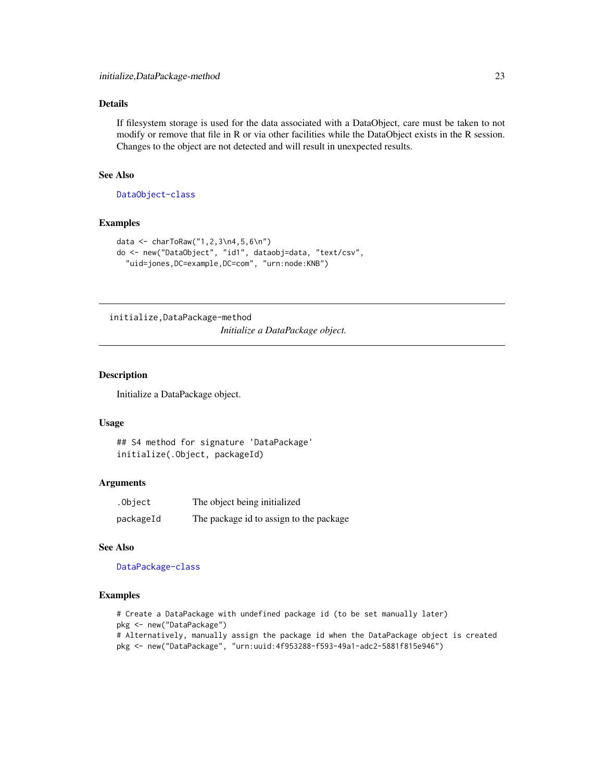## <span id="page-22-0"></span>Details

If filesystem storage is used for the data associated with a DataObject, care must be taken to not modify or remove that file in R or via other facilities while the DataObject exists in the R session. Changes to the object are not detected and will result in unexpected results.

## See Also

[DataObject-class](#page-8-1)

#### Examples

```
data <- charToRaw("1,2,3\n4,5,6\n")
do <- new("DataObject", "id1", dataobj=data, "text/csv",
  "uid=jones,DC=example,DC=com", "urn:node:KNB")
```
initialize,DataPackage-method

*Initialize a DataPackage object.*

#### <span id="page-22-1"></span>Description

Initialize a DataPackage object.

#### Usage

## S4 method for signature 'DataPackage' initialize(.Object, packageId)

## Arguments

| .Object   | The object being initialized            |
|-----------|-----------------------------------------|
| packageId | The package id to assign to the package |

## See Also

[DataPackage-class](#page-10-1)

```
# Create a DataPackage with undefined package id (to be set manually later)
pkg <- new("DataPackage")
# Alternatively, manually assign the package id when the DataPackage object is created
pkg <- new("DataPackage", "urn:uuid:4f953288-f593-49a1-adc2-5881f815e946")
```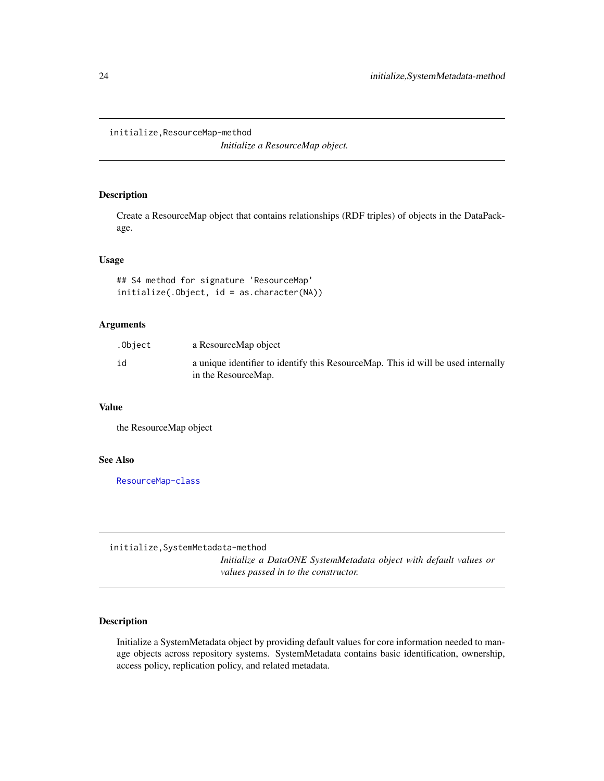#### <span id="page-23-0"></span>initialize,ResourceMap-method

*Initialize a ResourceMap object.*

## <span id="page-23-1"></span>Description

Create a ResourceMap object that contains relationships (RDF triples) of objects in the DataPackage.

## Usage

## S4 method for signature 'ResourceMap' initialize(.Object, id = as.character(NA))

## Arguments

| .Object | a ResourceMap object                                                                                     |
|---------|----------------------------------------------------------------------------------------------------------|
| id      | a unique identifier to identify this ResourceMap. This id will be used internally<br>in the ResourceMap. |

## Value

the ResourceMap object

#### See Also

[ResourceMap-class](#page-29-1)

initialize,SystemMetadata-method

*Initialize a DataONE SystemMetadata object with default values or values passed in to the constructor.*

#### <span id="page-23-2"></span>Description

Initialize a SystemMetadata object by providing default values for core information needed to manage objects across repository systems. SystemMetadata contains basic identification, ownership, access policy, replication policy, and related metadata.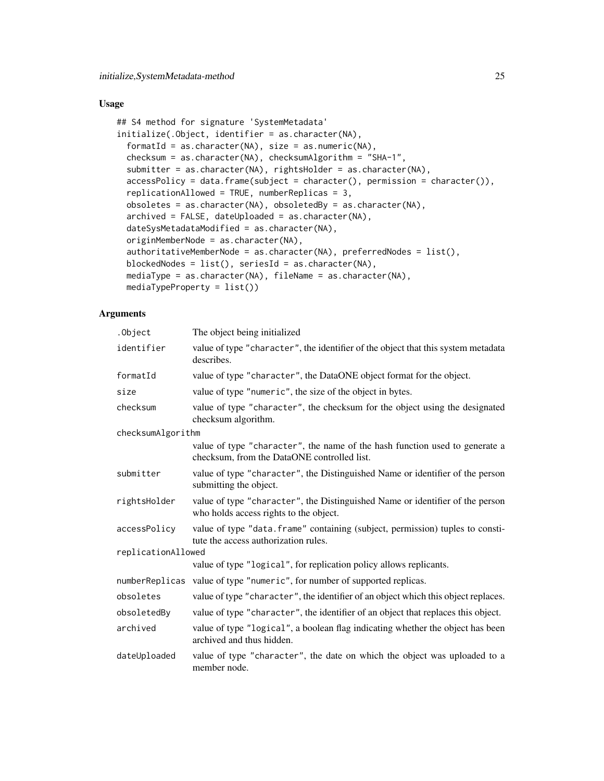## Usage

```
## S4 method for signature 'SystemMetadata'
initialize(.Object, identifier = as.character(NA),
  formatId = as.character(NA), size = as.numeric(NA),
 checksum = as.character(NA), checksumAlgorithm = "SHA-1",
  submitter = as.character(NA), rightsHolder = as.character(NA),
  accessPolicy = data frame(subject = character(), permission = character());replicationAllowed = TRUE, numberReplicas = 3,
  obsoletes = as.character(NA), obsoletedBy = as.character(NA),
  archived = FALSE, dateUploaded = as.character(NA),
  dateSysMetadataModified = as.character(NA),
 originMemberNode = as.character(NA),
  authoritativeMemberNode = as.character(NA), preferredNodes = list(),
 blockedNodes = list(), seriesId = as.character(NA),
  mediaType = as.character(NA), fileName = as.character(NA),
 mediaTypeProperty = list())
```

| .Object            | The object being initialized                                                                                               |  |
|--------------------|----------------------------------------------------------------------------------------------------------------------------|--|
| identifier         | value of type "character", the identifier of the object that this system metadata<br>describes.                            |  |
| formatId           | value of type "character", the DataONE object format for the object.                                                       |  |
| size               | value of type "numeric", the size of the object in bytes.                                                                  |  |
| checksum           | value of type "character", the checksum for the object using the designated<br>checksum algorithm.                         |  |
| checksumAlgorithm  |                                                                                                                            |  |
|                    | value of type "character", the name of the hash function used to generate a<br>checksum, from the DataONE controlled list. |  |
| submitter          | value of type "character", the Distinguished Name or identifier of the person<br>submitting the object.                    |  |
| rightsHolder       | value of type "character", the Distinguished Name or identifier of the person<br>who holds access rights to the object.    |  |
| accessPolicy       | value of type "data.frame" containing (subject, permission) tuples to consti-<br>tute the access authorization rules.      |  |
| replicationAllowed |                                                                                                                            |  |
|                    | value of type "logical", for replication policy allows replicants.                                                         |  |
|                    | numberReplicas value of type "numeric", for number of supported replicas.                                                  |  |
| obsoletes          | value of type "character", the identifier of an object which this object replaces.                                         |  |
| obsoletedBy        | value of type "character", the identifier of an object that replaces this object.                                          |  |
| archived           | value of type "logical", a boolean flag indicating whether the object has been<br>archived and thus hidden.                |  |
| dateUploaded       | value of type "character", the date on which the object was uploaded to a<br>member node.                                  |  |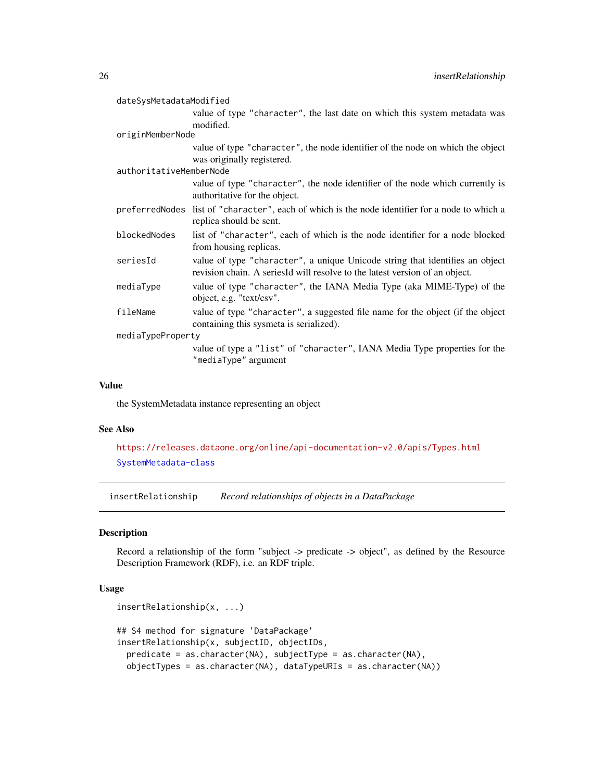<span id="page-25-0"></span>

| dateSysMetadataModified |                                                                                                                                                             |  |
|-------------------------|-------------------------------------------------------------------------------------------------------------------------------------------------------------|--|
|                         | value of type "character", the last date on which this system metadata was<br>modified.                                                                     |  |
| originMemberNode        |                                                                                                                                                             |  |
|                         | value of type "character", the node identifier of the node on which the object<br>was originally registered.                                                |  |
| authoritativeMemberNode |                                                                                                                                                             |  |
|                         | value of type "character", the node identifier of the node which currently is<br>authoritative for the object.                                              |  |
|                         | preferred Nodes list of "character", each of which is the node identifier for a node to which a<br>replica should be sent.                                  |  |
| blockedNodes            | list of "character", each of which is the node identifier for a node blocked<br>from housing replicas.                                                      |  |
| seriesId                | value of type "character", a unique Unicode string that identifies an object<br>revision chain. A seriesId will resolve to the latest version of an object. |  |
| mediaType               | value of type "character", the IANA Media Type (aka MIME-Type) of the<br>object, e.g. "text/csv".                                                           |  |
| fileName                | value of type "character", a suggested file name for the object (if the object<br>containing this sysmeta is serialized).                                   |  |
| mediaTypeProperty       |                                                                                                                                                             |  |
|                         | value of type a "list" of "character", IANA Media Type properties for the<br>"mediaType" argument                                                           |  |

#### Value

the SystemMetadata instance representing an object

#### See Also

<https://releases.dataone.org/online/api-documentation-v2.0/apis/Types.html> [SystemMetadata-class](#page-37-1)

<span id="page-25-1"></span>insertRelationship *Record relationships of objects in a DataPackage*

## Description

Record a relationship of the form "subject -> predicate -> object", as defined by the Resource Description Framework (RDF), i.e. an RDF triple.

#### Usage

```
insertRelationship(x, ...)
## S4 method for signature 'DataPackage'
insertRelationship(x, subjectID, objectIDs,
 predicate = as.character(NA), subjectType = as.character(NA),
 objectTypes = as.character(NA), dataTypeURIs = as.character(NA))
```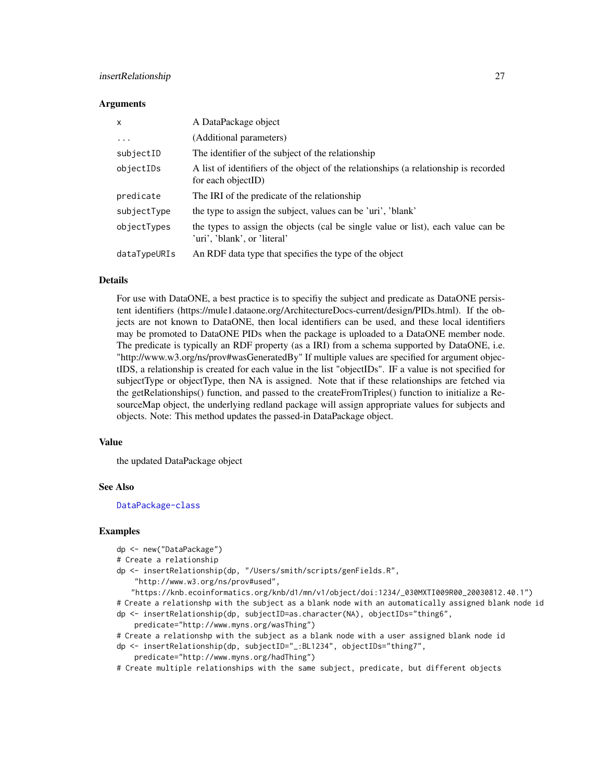## insertRelationship 27

#### **Arguments**

| $\mathsf{x}$ | A DataPackage object                                                                                             |
|--------------|------------------------------------------------------------------------------------------------------------------|
| $\ddots$     | (Additional parameters)                                                                                          |
| subjectID    | The identifier of the subject of the relationship                                                                |
| objectIDs    | A list of identifiers of the object of the relationships (a relationship is recorded<br>for each objectID)       |
| predicate    | The IRI of the predicate of the relationship                                                                     |
| subjectType  | the type to assign the subject, values can be 'uri', 'blank'                                                     |
| objectTypes  | the types to assign the objects (cal be single value or list), each value can be<br>'uri', 'blank', or 'literal' |
| dataTypeURIs | An RDF data type that specifies the type of the object                                                           |

## Details

For use with DataONE, a best practice is to specifiy the subject and predicate as DataONE persistent identifiers (https://mule1.dataone.org/ArchitectureDocs-current/design/PIDs.html). If the objects are not known to DataONE, then local identifiers can be used, and these local identifiers may be promoted to DataONE PIDs when the package is uploaded to a DataONE member node. The predicate is typically an RDF property (as a IRI) from a schema supported by DataONE, i.e. "http://www.w3.org/ns/prov#wasGeneratedBy" If multiple values are specified for argument objectIDS, a relationship is created for each value in the list "objectIDs". IF a value is not specified for subjectType or objectType, then NA is assigned. Note that if these relationships are fetched via the getRelationships() function, and passed to the createFromTriples() function to initialize a ResourceMap object, the underlying redland package will assign appropriate values for subjects and objects. Note: This method updates the passed-in DataPackage object.

#### Value

the updated DataPackage object

#### See Also

[DataPackage-class](#page-10-1)

#### Examples

```
dp <- new("DataPackage")
# Create a relationship
dp <- insertRelationship(dp, "/Users/smith/scripts/genFields.R",
    "http://www.w3.org/ns/prov#used",
   "https://knb.ecoinformatics.org/knb/d1/mn/v1/object/doi:1234/_030MXTI009R00_20030812.40.1")
```

```
# Create a relationshp with the subject as a blank node with an automatically assigned blank node id
dp <- insertRelationship(dp, subjectID=as.character(NA), objectIDs="thing6",
```

```
predicate="http://www.myns.org/wasThing")
```

```
# Create a relationshp with the subject as a blank node with a user assigned blank node id
```

```
dp <- insertRelationship(dp, subjectID="_:BL1234", objectIDs="thing7",
```

```
predicate="http://www.myns.org/hadThing")
```
# Create multiple relationships with the same subject, predicate, but different objects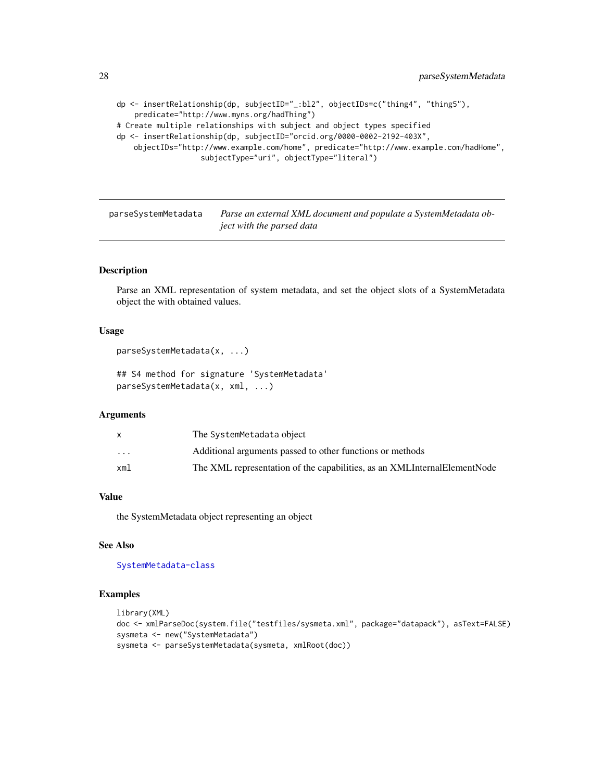```
dp <- insertRelationship(dp, subjectID="_:bl2", objectIDs=c("thing4", "thing5"),
    predicate="http://www.myns.org/hadThing")
# Create multiple relationships with subject and object types specified
dp <- insertRelationship(dp, subjectID="orcid.org/0000-0002-2192-403X",
   objectIDs="http://www.example.com/home", predicate="http://www.example.com/hadHome",
                   subjectType="uri", objectType="literal")
```
<span id="page-27-1"></span>parseSystemMetadata *Parse an external XML document and populate a SystemMetadata object with the parsed data*

#### Description

Parse an XML representation of system metadata, and set the object slots of a SystemMetadata object the with obtained values.

#### Usage

```
parseSystemMetadata(x, ...)
```
## S4 method for signature 'SystemMetadata' parseSystemMetadata(x, xml, ...)

### **Arguments**

|                         | The SystemMetadata object                                                |
|-------------------------|--------------------------------------------------------------------------|
| $\cdot$ $\cdot$ $\cdot$ | Additional arguments passed to other functions or methods                |
| xml                     | The XML representation of the capabilities, as an XMLInternalElementNode |
|                         |                                                                          |

#### Value

the SystemMetadata object representing an object

## See Also

[SystemMetadata-class](#page-37-1)

```
library(XML)
doc <- xmlParseDoc(system.file("testfiles/sysmeta.xml", package="datapack"), asText=FALSE)
sysmeta <- new("SystemMetadata")
sysmeta <- parseSystemMetadata(sysmeta, xmlRoot(doc))
```
<span id="page-27-0"></span>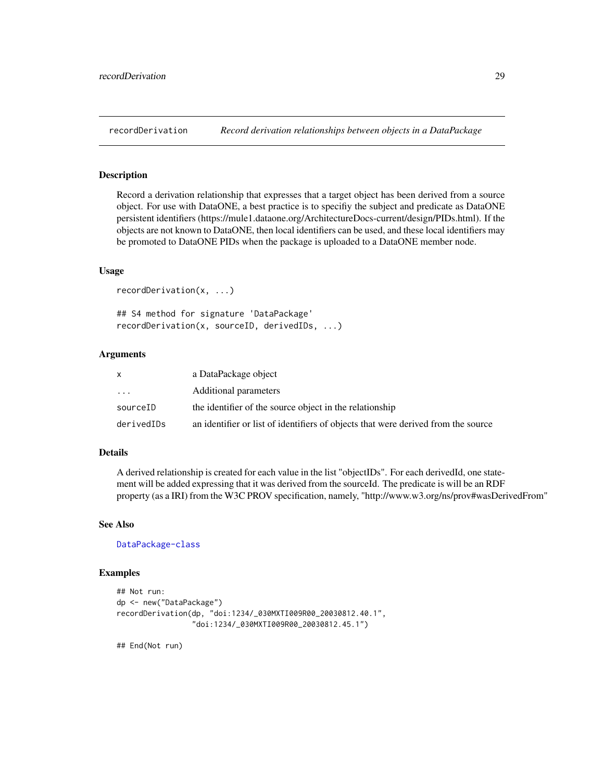<span id="page-28-0"></span>

Record a derivation relationship that expresses that a target object has been derived from a source object. For use with DataONE, a best practice is to specifiy the subject and predicate as DataONE persistent identifiers (https://mule1.dataone.org/ArchitectureDocs-current/design/PIDs.html). If the objects are not known to DataONE, then local identifiers can be used, and these local identifiers may be promoted to DataONE PIDs when the package is uploaded to a DataONE member node.

#### Usage

```
recordDerivation(x, ...)
```
## S4 method for signature 'DataPackage' recordDerivation(x, sourceID, derivedIDs, ...)

## Arguments

|            | a DataPackage object                                                              |
|------------|-----------------------------------------------------------------------------------|
| $\cdots$   | Additional parameters                                                             |
| sourceID   | the identifier of the source object in the relationship                           |
| derivedIDs | an identifier or list of identifiers of objects that were derived from the source |

#### Details

A derived relationship is created for each value in the list "objectIDs". For each derivedId, one statement will be added expressing that it was derived from the sourceId. The predicate is will be an RDF property (as a IRI) from the W3C PROV specification, namely, "http://www.w3.org/ns/prov#wasDerivedFrom"

#### See Also

[DataPackage-class](#page-10-1)

#### Examples

```
## Not run:
dp <- new("DataPackage")
recordDerivation(dp, "doi:1234/_030MXTI009R00_20030812.40.1",
                 "doi:1234/_030MXTI009R00_20030812.45.1")
```
## End(Not run)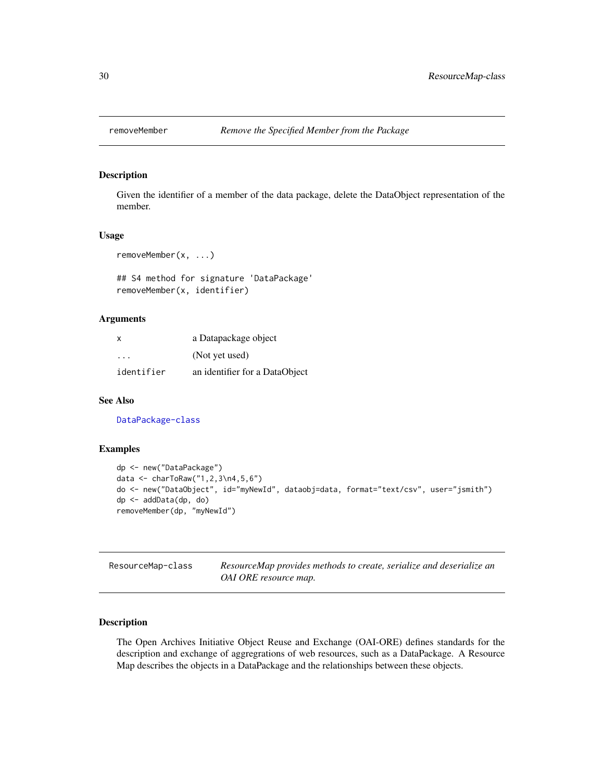<span id="page-29-2"></span><span id="page-29-0"></span>

Given the identifier of a member of the data package, delete the DataObject representation of the member.

#### Usage

```
removeMember(x, ...)
```
## S4 method for signature 'DataPackage' removeMember(x, identifier)

## Arguments

| $\times$   | a Datapackage object           |
|------------|--------------------------------|
| .          | (Not yet used)                 |
| identifier | an identifier for a DataObject |

## See Also

[DataPackage-class](#page-10-1)

#### Examples

```
dp <- new("DataPackage")
data <- charToRaw("1,2,3\n4,5,6")
do <- new("DataObject", id="myNewId", dataobj=data, format="text/csv", user="jsmith")
dp <- addData(dp, do)
removeMember(dp, "myNewId")
```
<span id="page-29-1"></span>ResourceMap-class *ResourceMap provides methods to create, serialize and deserialize an OAI ORE resource map.*

#### Description

The Open Archives Initiative Object Reuse and Exchange (OAI-ORE) defines standards for the description and exchange of aggregrations of web resources, such as a DataPackage. A Resource Map describes the objects in a DataPackage and the relationships between these objects.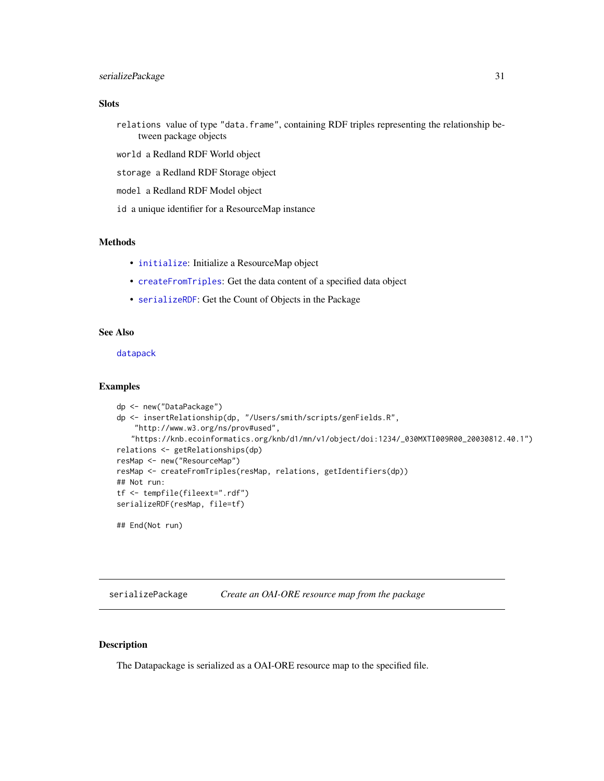## <span id="page-30-0"></span>serializePackage 31

## Slots

- relations value of type "data.frame", containing RDF triples representing the relationship between package objects
- world a Redland RDF World object
- storage a Redland RDF Storage object
- model a Redland RDF Model object
- id a unique identifier for a ResourceMap instance

#### Methods

- [initialize](#page-23-1): Initialize a ResourceMap object
- [createFromTriples](#page-7-1): Get the data content of a specified data object
- [serializeRDF](#page-32-1): Get the Count of Objects in the Package

#### See Also

[datapack](#page-9-1)

#### Examples

```
dp <- new("DataPackage")
dp <- insertRelationship(dp, "/Users/smith/scripts/genFields.R",
   "http://www.w3.org/ns/prov#used",
   "https://knb.ecoinformatics.org/knb/d1/mn/v1/object/doi:1234/_030MXTI009R00_20030812.40.1")
relations <- getRelationships(dp)
resMap <- new("ResourceMap")
resMap <- createFromTriples(resMap, relations, getIdentifiers(dp))
## Not run:
tf <- tempfile(fileext=".rdf")
serializeRDF(resMap, file=tf)
## End(Not run)
```
<span id="page-30-1"></span>serializePackage *Create an OAI-ORE resource map from the package*

#### Description

The Datapackage is serialized as a OAI-ORE resource map to the specified file.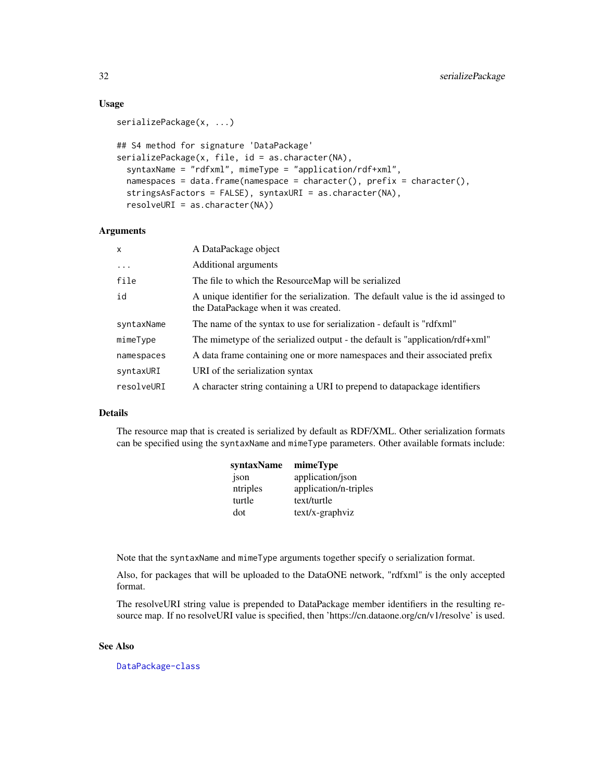#### Usage

```
serializePackage(x, ...)
## S4 method for signature 'DataPackage'
serializePackage(x, file, id = as.character(NA),
  syntaxName = "rdfxml", mimeType = "application/rdf+xml",
 namespaces = data.frame(namespace = character(), prefix = character(),
  stringsAsFactors = FALSE), syntaxURI = as.character(NA),
  resolveURI = as.character(NA))
```
#### **Arguments**

| $\mathsf{x}$ | A DataPackage object                                                                                                       |
|--------------|----------------------------------------------------------------------------------------------------------------------------|
| $\cdots$     | Additional arguments                                                                                                       |
| file         | The file to which the ResourceMap will be serialized                                                                       |
| id           | A unique identifier for the serialization. The default value is the id assinged to<br>the DataPackage when it was created. |
| syntaxName   | The name of the syntax to use for serialization - default is "rdfxml"                                                      |
| mimeType     | The mimetype of the serialized output - the default is "application/rdf+xml"                                               |
| namespaces   | A data frame containing one or more namespaces and their associated prefix                                                 |
| syntaxURI    | URI of the serialization syntax                                                                                            |
| resolveURI   | A character string containing a URI to prepend to datapackage identifiers                                                  |

## Details

The resource map that is created is serialized by default as RDF/XML. Other serialization formats can be specified using the syntaxName and mimeType parameters. Other available formats include:

| syntaxName | mimeType              |
|------------|-----------------------|
| json       | application/json      |
| ntriples   | application/n-triples |
| turtle     | text/turtle           |
| dot        | text/x-graphviz       |

Note that the syntaxName and mimeType arguments together specify o serialization format.

Also, for packages that will be uploaded to the DataONE network, "rdfxml" is the only accepted format.

The resolveURI string value is prepended to DataPackage member identifiers in the resulting resource map. If no resolveURI value is specified, then 'https://cn.dataone.org/cn/v1/resolve' is used.

## See Also

[DataPackage-class](#page-10-1)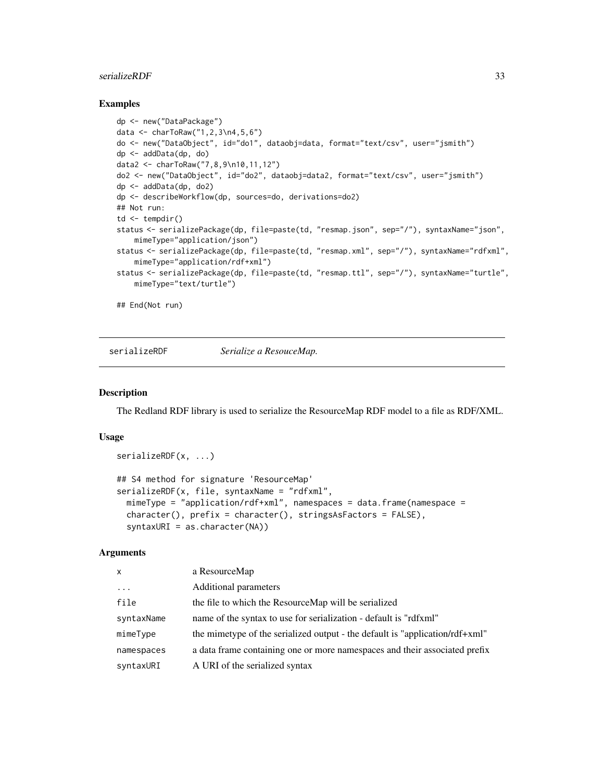#### <span id="page-32-0"></span>serializeRDF 33

#### Examples

```
dp <- new("DataPackage")
data <- charToRaw("1,2,3\n4,5,6")
do <- new("DataObject", id="do1", dataobj=data, format="text/csv", user="jsmith")
dp <- addData(dp, do)
data2 <- charToRaw("7,8,9\n10,11,12")
do2 <- new("DataObject", id="do2", dataobj=data2, format="text/csv", user="jsmith")
dp <- addData(dp, do2)
dp <- describeWorkflow(dp, sources=do, derivations=do2)
## Not run:
td \leftarrow tempdir()status <- serializePackage(dp, file=paste(td, "resmap.json", sep="/"), syntaxName="json",
    mimeType="application/json")
status <- serializePackage(dp, file=paste(td, "resmap.xml", sep="/"), syntaxName="rdfxml",
   mimeType="application/rdf+xml")
status <- serializePackage(dp, file=paste(td, "resmap.ttl", sep="/"), syntaxName="turtle",
   mimeType="text/turtle")
```
## End(Not run)

<span id="page-32-1"></span>serializeRDF *Serialize a ResouceMap.*

#### **Description**

The Redland RDF library is used to serialize the ResourceMap RDF model to a file as RDF/XML.

## Usage

```
serializeRDF(x, ...)
## S4 method for signature 'ResourceMap'
serializeRDF(x, file, syntaxName = "rdfxml",
 mimeType = "application/rdf+xml", namespaces = data.frame(namespace =
 character(), prefix = character(), stringsAsFactors = FALSE),
  syntaxURI = as.character(NA))
```

| X          | a ResourceMap                                                                |
|------------|------------------------------------------------------------------------------|
| $\cdots$   | Additional parameters                                                        |
| file       | the file to which the ResourceMap will be serialized                         |
| syntaxName | name of the syntax to use for serialization - default is "rdfxml"            |
| mimeType   | the mimetype of the serialized output - the default is "application/rdf+xml" |
| namespaces | a data frame containing one or more namespaces and their associated prefix   |
| syntaxURI  | A URI of the serialized syntax                                               |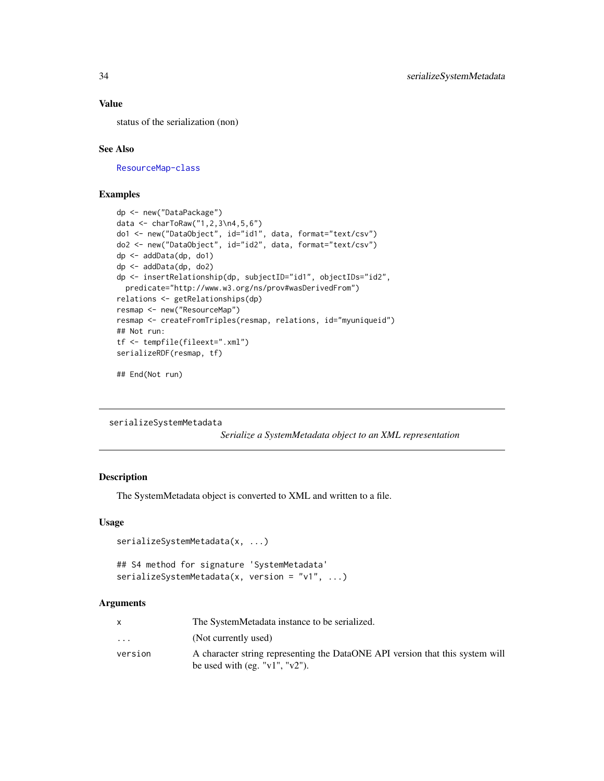## Value

status of the serialization (non)

#### See Also

[ResourceMap-class](#page-29-1)

## Examples

```
dp <- new("DataPackage")
data <- charToRaw("1,2,3\n4,5,6")
do1 <- new("DataObject", id="id1", data, format="text/csv")
do2 <- new("DataObject", id="id2", data, format="text/csv")
dp <- addData(dp, do1)
dp <- addData(dp, do2)
dp <- insertRelationship(dp, subjectID="id1", objectIDs="id2",
  predicate="http://www.w3.org/ns/prov#wasDerivedFrom")
relations <- getRelationships(dp)
resmap <- new("ResourceMap")
resmap <- createFromTriples(resmap, relations, id="myuniqueid")
## Not run:
tf <- tempfile(fileext=".xml")
serializeRDF(resmap, tf)
```

```
## End(Not run)
```

```
serializeSystemMetadata
```
*Serialize a SystemMetadata object to an XML representation*

## Description

The SystemMetadata object is converted to XML and written to a file.

#### Usage

```
serializeSystemMetadata(x, ...)
```

```
## S4 method for signature 'SystemMetadata'
serializeSystemMetadata(x, version = "v1", ...)
```

|                         | The SystemMetadata instance to be serialized.                                                                           |
|-------------------------|-------------------------------------------------------------------------------------------------------------------------|
| $\cdot$ $\cdot$ $\cdot$ | (Not currently used)                                                                                                    |
| version                 | A character string representing the DataONE API version that this system will<br>be used with (eg. " $v1$ ", " $v2$ "). |

<span id="page-33-0"></span>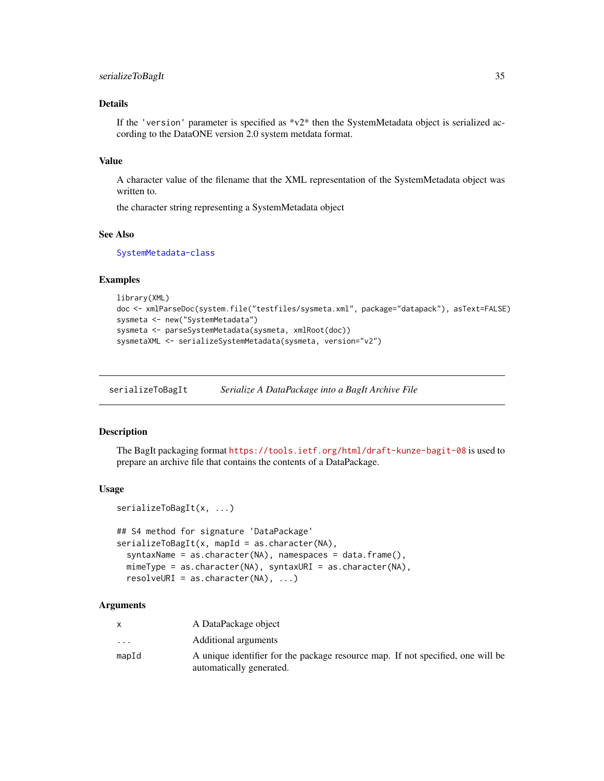## <span id="page-34-0"></span>serializeToBagIt 35

## Details

If the 'version' parameter is specified as  $v^2$  then the SystemMetadata object is serialized according to the DataONE version 2.0 system metdata format.

#### Value

A character value of the filename that the XML representation of the SystemMetadata object was written to.

the character string representing a SystemMetadata object

#### See Also

[SystemMetadata-class](#page-37-1)

serializeToBagIt(x, ...)

## Examples

```
library(XML)
doc <- xmlParseDoc(system.file("testfiles/sysmeta.xml", package="datapack"), asText=FALSE)
sysmeta <- new("SystemMetadata")
sysmeta <- parseSystemMetadata(sysmeta, xmlRoot(doc))
sysmetaXML <- serializeSystemMetadata(sysmeta, version="v2")
```
<span id="page-34-1"></span>serializeToBagIt *Serialize A DataPackage into a BagIt Archive File*

#### **Description**

The BagIt packaging format <https://tools.ietf.org/html/draft-kunze-bagit-08> is used to prepare an archive file that contains the contents of a DataPackage.

#### Usage

```
## S4 method for signature 'DataPackage'
serializeToBagIt(x, mapId = as.character(NA),
  syntaxName = as.character(NA), namespaces = data.frame(),
 mimeType = as.character(NA), syntaxURI = as.character(NA),
  resolvedRT = as.charAter(NA), ...
```

|                         | A DataPackage object                                                            |
|-------------------------|---------------------------------------------------------------------------------|
| $\cdot$ $\cdot$ $\cdot$ | Additional arguments                                                            |
| mapId                   | A unique identifier for the package resource map. If not specified, one will be |
|                         | automatically generated.                                                        |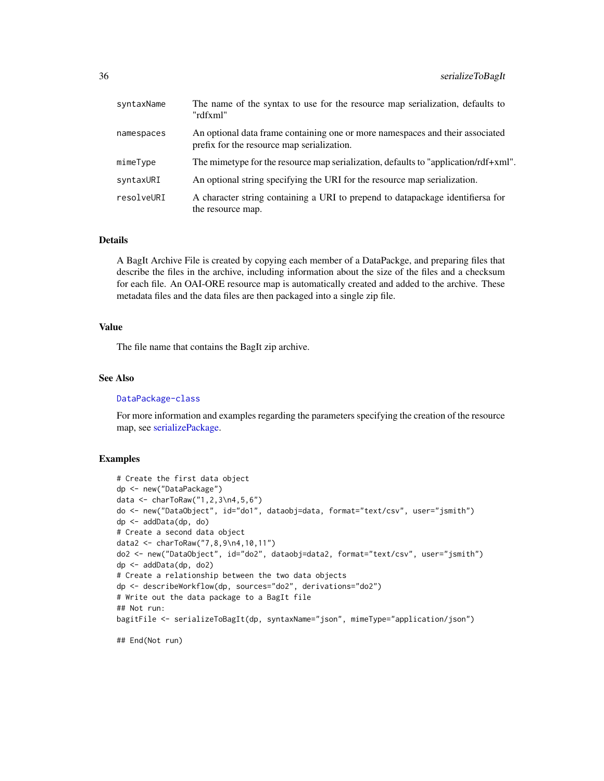<span id="page-35-0"></span>

| syntaxName | The name of the syntax to use for the resource map serialization, defaults to<br>"rdfxml"                                   |
|------------|-----------------------------------------------------------------------------------------------------------------------------|
| namespaces | An optional data frame containing one or more namespaces and their associated<br>prefix for the resource map serialization. |
| mimeType   | The mimetype for the resource map serialization, defaults to "application/rdf+xml".                                         |
| syntaxURI  | An optional string specifying the URI for the resource map serialization.                                                   |
| resolveURI | A character string containing a URI to prepend to datapackage identifiersa for<br>the resource map.                         |

## Details

A BagIt Archive File is created by copying each member of a DataPackge, and preparing files that describe the files in the archive, including information about the size of the files and a checksum for each file. An OAI-ORE resource map is automatically created and added to the archive. These metadata files and the data files are then packaged into a single zip file.

## Value

The file name that contains the BagIt zip archive.

#### See Also

[DataPackage-class](#page-10-1)

For more information and examples regarding the parameters specifying the creation of the resource map, see [serializePackage.](#page-30-1)

```
# Create the first data object
dp <- new("DataPackage")
data <- charToRaw("1,2,3\n4,5,6")
do <- new("DataObject", id="do1", dataobj=data, format="text/csv", user="jsmith")
dp <- addData(dp, do)
# Create a second data object
data2 <- charToRaw("7,8,9\n4,10,11")
do2 <- new("DataObject", id="do2", dataobj=data2, format="text/csv", user="jsmith")
dp <- addData(dp, do2)
# Create a relationship between the two data objects
dp <- describeWorkflow(dp, sources="do2", derivations="do2")
# Write out the data package to a BagIt file
## Not run:
bagitFile <- serializeToBagIt(dp, syntaxName="json", mimeType="application/json")
```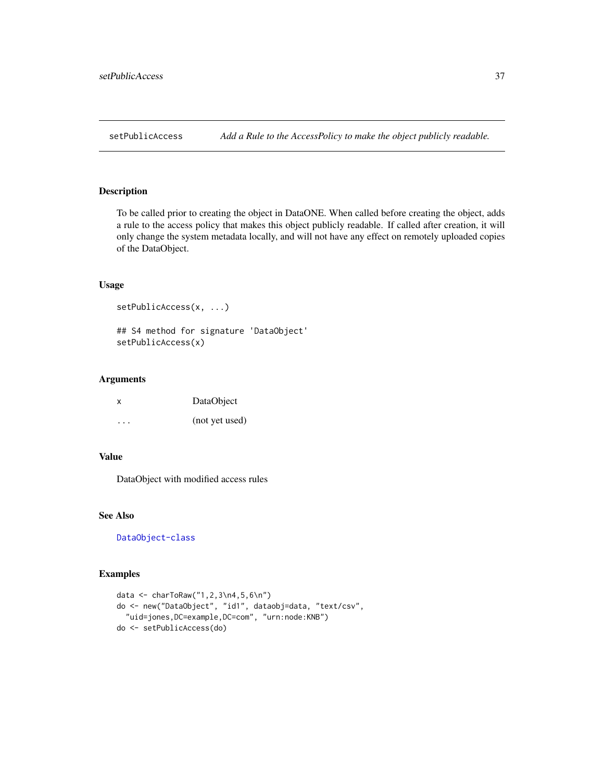<span id="page-36-1"></span><span id="page-36-0"></span>To be called prior to creating the object in DataONE. When called before creating the object, adds a rule to the access policy that makes this object publicly readable. If called after creation, it will only change the system metadata locally, and will not have any effect on remotely uploaded copies of the DataObject.

#### Usage

```
setPublicAccess(x, ...)
```
## S4 method for signature 'DataObject' setPublicAccess(x)

### Arguments

| x | DataObject     |
|---|----------------|
| . | (not yet used) |

## Value

DataObject with modified access rules

## See Also

[DataObject-class](#page-8-1)

```
data <- charToRaw("1,2,3\n4,5,6\n")
do <- new("DataObject", "id1", dataobj=data, "text/csv",
  "uid=jones,DC=example,DC=com", "urn:node:KNB")
do <- setPublicAccess(do)
```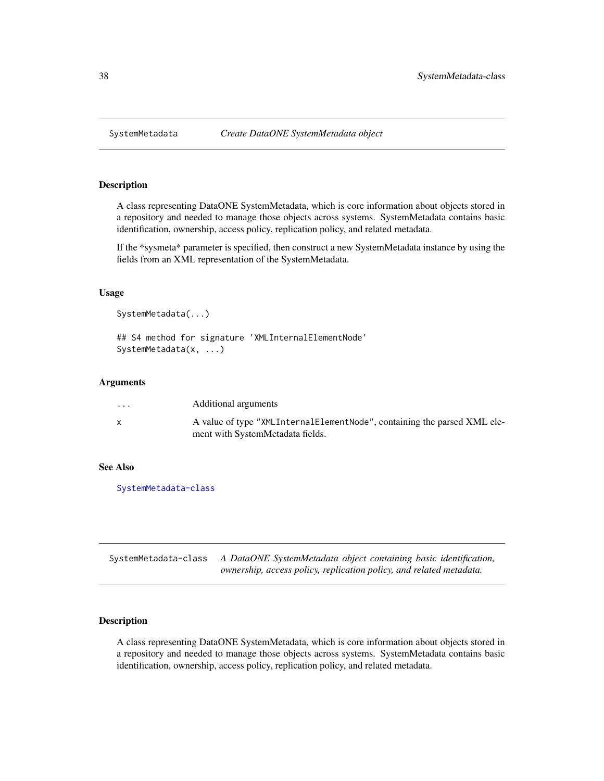<span id="page-37-2"></span><span id="page-37-0"></span>

A class representing DataONE SystemMetadata, which is core information about objects stored in a repository and needed to manage those objects across systems. SystemMetadata contains basic identification, ownership, access policy, replication policy, and related metadata.

If the \*sysmeta\* parameter is specified, then construct a new SystemMetadata instance by using the fields from an XML representation of the SystemMetadata.

#### Usage

```
SystemMetadata(...)
```

```
## S4 method for signature 'XMLInternalElementNode'
SystemMetadata(x, ...)
```
#### Arguments

| $\ddot{\phantom{0}}$ | Additional arguments                                                                                         |
|----------------------|--------------------------------------------------------------------------------------------------------------|
|                      | A value of type "XMLInternalElementNode", containing the parsed XML ele-<br>ment with SystemMetadata fields. |

## See Also

[SystemMetadata-class](#page-37-1)

<span id="page-37-1"></span>SystemMetadata-class *A DataONE SystemMetadata object containing basic identification, ownership, access policy, replication policy, and related metadata.*

## Description

A class representing DataONE SystemMetadata, which is core information about objects stored in a repository and needed to manage those objects across systems. SystemMetadata contains basic identification, ownership, access policy, replication policy, and related metadata.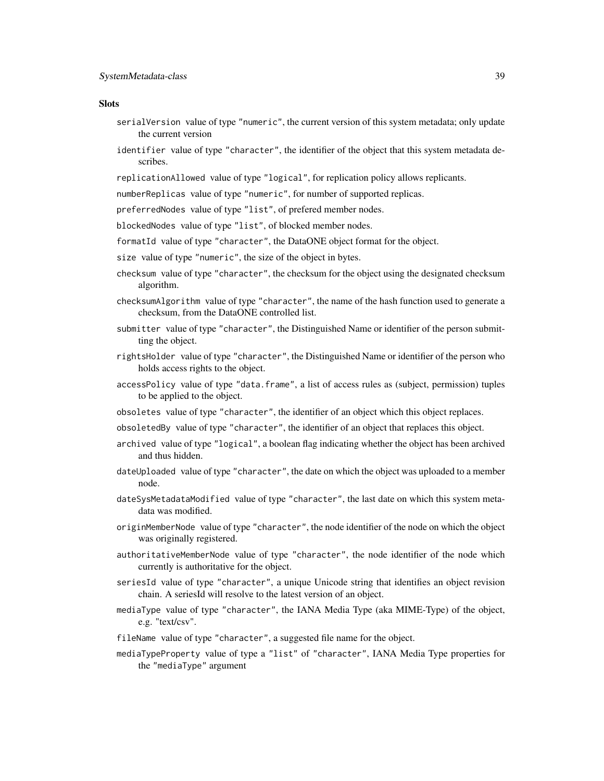- serialVersion value of type "numeric", the current version of this system metadata; only update the current version
- identifier value of type "character", the identifier of the object that this system metadata describes.
- replicationAllowed value of type "logical", for replication policy allows replicants.

numberReplicas value of type "numeric", for number of supported replicas.

- preferredNodes value of type "list", of prefered member nodes.
- blockedNodes value of type "list", of blocked member nodes.
- formatId value of type "character", the DataONE object format for the object.
- size value of type "numeric", the size of the object in bytes.
- checksum value of type "character", the checksum for the object using the designated checksum algorithm.
- checksumAlgorithm value of type "character", the name of the hash function used to generate a checksum, from the DataONE controlled list.
- submitter value of type "character", the Distinguished Name or identifier of the person submitting the object.
- rightsHolder value of type "character", the Distinguished Name or identifier of the person who holds access rights to the object.
- accessPolicy value of type "data.frame", a list of access rules as (subject, permission) tuples to be applied to the object.
- obsoletes value of type "character", the identifier of an object which this object replaces.
- obsoletedBy value of type "character", the identifier of an object that replaces this object.
- archived value of type "logical", a boolean flag indicating whether the object has been archived and thus hidden.
- dateUploaded value of type "character", the date on which the object was uploaded to a member node.
- dateSysMetadataModified value of type "character", the last date on which this system metadata was modified.
- originMemberNode value of type "character", the node identifier of the node on which the object was originally registered.
- authoritativeMemberNode value of type "character", the node identifier of the node which currently is authoritative for the object.
- seriesId value of type "character", a unique Unicode string that identifies an object revision chain. A seriesId will resolve to the latest version of an object.
- mediaType value of type "character", the IANA Media Type (aka MIME-Type) of the object, e.g. "text/csv".
- fileName value of type "character", a suggested file name for the object.
- mediaTypeProperty value of type a "list" of "character", IANA Media Type properties for the "mediaType" argument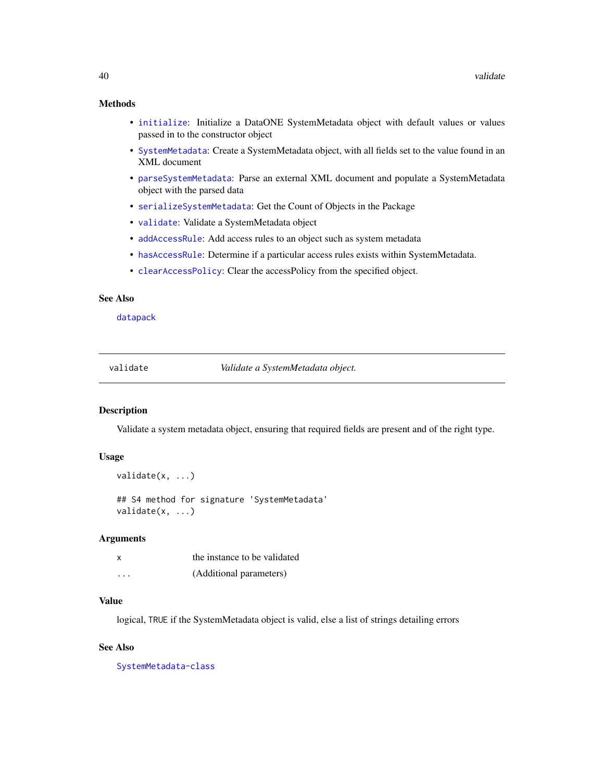## <span id="page-39-0"></span>Methods

- [initialize](#page-23-2): Initialize a DataONE SystemMetadata object with default values or values passed in to the constructor object
- [SystemMetadata](#page-37-2): Create a SystemMetadata object, with all fields set to the value found in an XML document
- [parseSystemMetadata](#page-27-1): Parse an external XML document and populate a SystemMetadata object with the parsed data
- [serializeSystemMetadata](#page-33-1): Get the Count of Objects in the Package
- [validate](#page-39-1): Validate a SystemMetadata object
- [addAccessRule](#page-2-1): Add access rules to an object such as system metadata
- [hasAccessRule](#page-20-1): Determine if a particular access rules exists within SystemMetadata.
- [clearAccessPolicy](#page-5-1): Clear the accessPolicy from the specified object.

## See Also

[datapack](#page-9-1)

<span id="page-39-1"></span>

| validate |  |  |
|----------|--|--|
|          |  |  |

validate *Validate a SystemMetadata object.*

#### Description

Validate a system metadata object, ensuring that required fields are present and of the right type.

## Usage

```
validate(x, ...)
## S4 method for signature 'SystemMetadata'
validate(x, ...)
```
#### **Arguments**

| x | the instance to be validated |
|---|------------------------------|
| . | (Additional parameters)      |

#### Value

logical, TRUE if the SystemMetadata object is valid, else a list of strings detailing errors

#### See Also

[SystemMetadata-class](#page-37-1)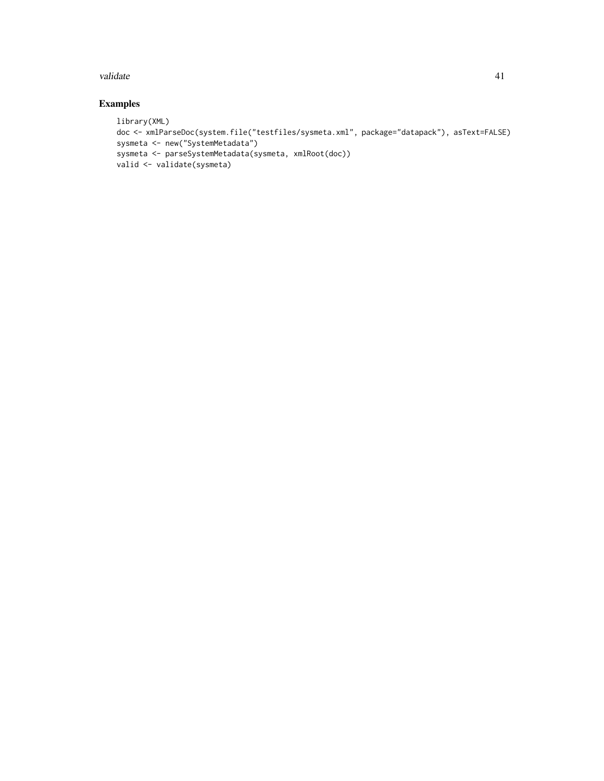#### validate 41 and 41 and 42 and 42 and 42 and 42 and 42 and 42 and 42 and 42 and 42 and 42 and 42 and 42 and 42 and 42 and 42 and 42 and 42 and 42 and 42 and 42 and 42 and 42 and 42 and 42 and 42 and 42 and 42 and 42 and 42

```
library(XML)
doc <- xmlParseDoc(system.file("testfiles/sysmeta.xml", package="datapack"), asText=FALSE)
sysmeta <- new("SystemMetadata")
sysmeta <- parseSystemMetadata(sysmeta, xmlRoot(doc))
valid <- validate(sysmeta)
```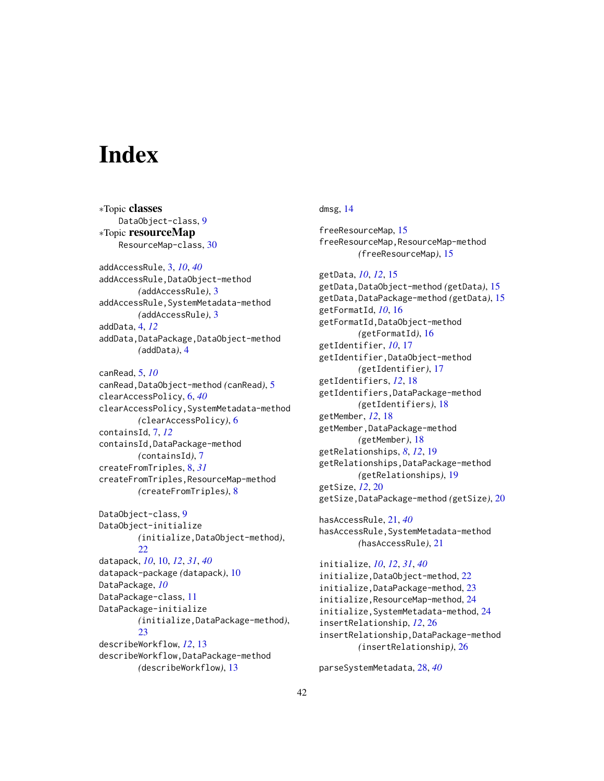# <span id="page-41-0"></span>**Index**

∗Topic classes DataObject-class, [9](#page-8-0) ∗Topic resourceMap ResourceMap-class, [30](#page-29-0) addAccessRule, [3,](#page-2-0) *[10](#page-9-0)*, *[40](#page-39-0)* addAccessRule,DataObject-method *(*addAccessRule*)*, [3](#page-2-0) addAccessRule,SystemMetadata-method *(*addAccessRule*)*, [3](#page-2-0) addData, [4,](#page-3-0) *[12](#page-11-0)* addData,DataPackage,DataObject-method *(*addData*)*, [4](#page-3-0) canRead, [5,](#page-4-0) *[10](#page-9-0)* canRead,DataObject-method *(*canRead*)*, [5](#page-4-0) clearAccessPolicy, [6,](#page-5-0) *[40](#page-39-0)* clearAccessPolicy,SystemMetadata-method *(*clearAccessPolicy*)*, [6](#page-5-0) containsId, [7,](#page-6-0) *[12](#page-11-0)* containsId,DataPackage-method *(*containsId*)*, [7](#page-6-0)

createFromTriples, [8,](#page-7-0) *[31](#page-30-0)* createFromTriples,ResourceMap-method *(*createFromTriples*)*, [8](#page-7-0)

DataObject-class, [9](#page-8-0) DataObject-initialize *(*initialize,DataObject-method*)*, [22](#page-21-0) datapack, *[10](#page-9-0)*, [10,](#page-9-0) *[12](#page-11-0)*, *[31](#page-30-0)*, *[40](#page-39-0)* datapack-package *(*datapack*)*, [10](#page-9-0) DataPackage, *[10](#page-9-0)* DataPackage-class, [11](#page-10-0) DataPackage-initialize *(*initialize,DataPackage-method*)*, [23](#page-22-0) describeWorkflow, *[12](#page-11-0)*, [13](#page-12-0) describeWorkflow,DataPackage-method *(*describeWorkflow*)*, [13](#page-12-0)

## dmsg, [14](#page-13-0)

freeResourceMap, [15](#page-14-0) freeResourceMap,ResourceMap-method *(*freeResourceMap*)*, [15](#page-14-0)

getData, *[10](#page-9-0)*, *[12](#page-11-0)*, [15](#page-14-0) getData,DataObject-method *(*getData*)*, [15](#page-14-0) getData,DataPackage-method *(*getData*)*, [15](#page-14-0) getFormatId, *[10](#page-9-0)*, [16](#page-15-0) getFormatId,DataObject-method *(*getFormatId*)*, [16](#page-15-0) getIdentifier, *[10](#page-9-0)*, [17](#page-16-0) getIdentifier,DataObject-method *(*getIdentifier*)*, [17](#page-16-0) getIdentifiers, *[12](#page-11-0)*, [18](#page-17-0) getIdentifiers,DataPackage-method *(*getIdentifiers*)*, [18](#page-17-0) getMember, *[12](#page-11-0)*, [18](#page-17-0) getMember,DataPackage-method *(*getMember*)*, [18](#page-17-0) getRelationships, *[8](#page-7-0)*, *[12](#page-11-0)*, [19](#page-18-0) getRelationships,DataPackage-method *(*getRelationships*)*, [19](#page-18-0) getSize, *[12](#page-11-0)*, [20](#page-19-0) getSize,DataPackage-method *(*getSize*)*, [20](#page-19-0)

hasAccessRule, [21,](#page-20-0) *[40](#page-39-0)* hasAccessRule,SystemMetadata-method *(*hasAccessRule*)*, [21](#page-20-0)

initialize, *[10](#page-9-0)*, *[12](#page-11-0)*, *[31](#page-30-0)*, *[40](#page-39-0)* initialize,DataObject-method, [22](#page-21-0) initialize,DataPackage-method, [23](#page-22-0) initialize,ResourceMap-method, [24](#page-23-0) initialize,SystemMetadata-method, [24](#page-23-0) insertRelationship, *[12](#page-11-0)*, [26](#page-25-0) insertRelationship,DataPackage-method *(*insertRelationship*)*, [26](#page-25-0)

parseSystemMetadata, [28,](#page-27-0) *[40](#page-39-0)*